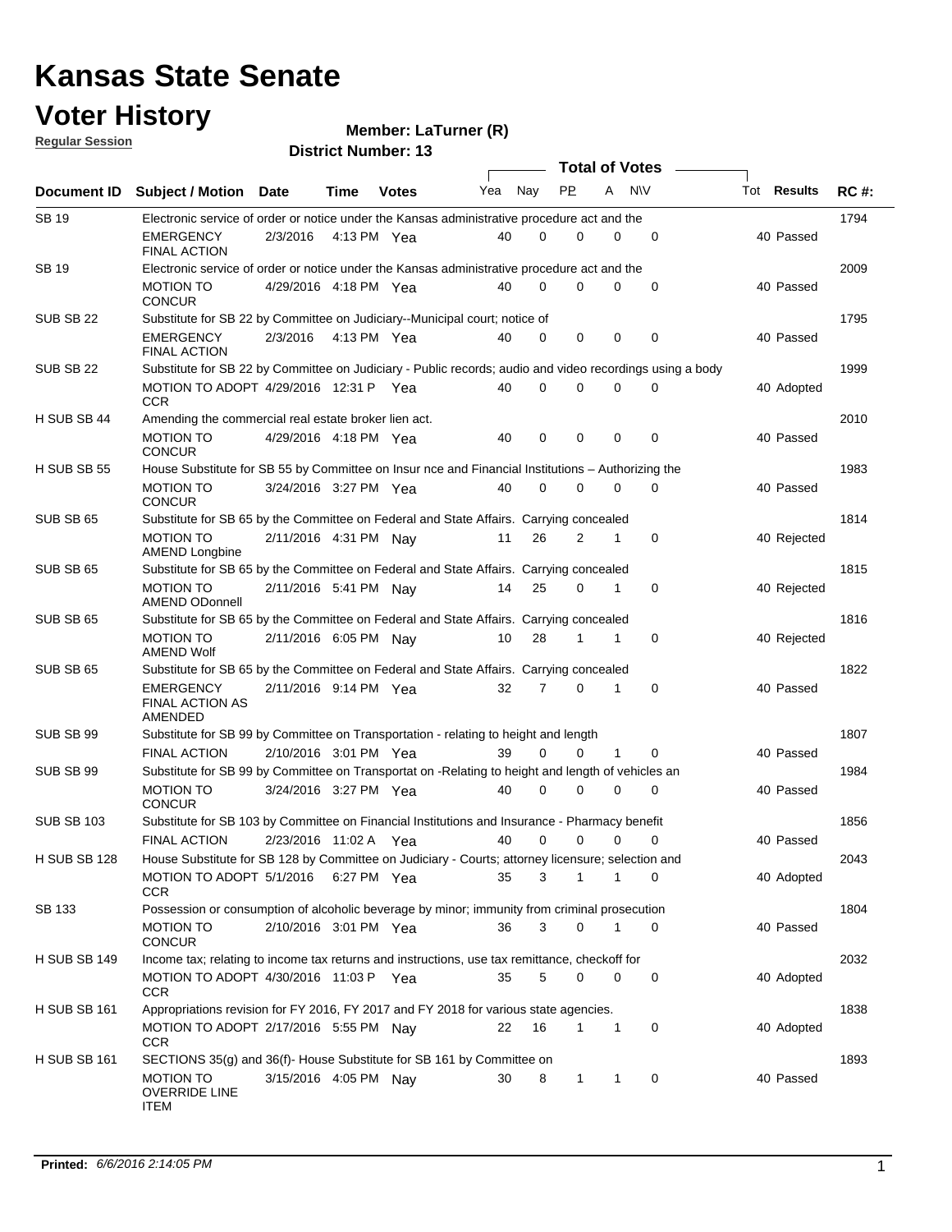#### **Voter History**

#### **Member: LaTurner (R)**

**Document ID** Subject / Motion Date Time Votes Yea Nay PP A NIV Tot Results RC #: **District Number: 13 Date Votes Total of Votes Time Votes** Mea Nay PP A N\V Tot Results **Regular Session** Nav 1794 2/3/2016 SB 19 EMERGENCY Yea 40 4:13 PM 40 0 0 0 0 Passed FINAL ACTION Electronic service of order or notice under the Kansas administrative procedure act and the 2009 4/29/2016 MOTION TO Yea 40 4:18 PM 40 0 0 0 0 Passed SB 19 **CONCUR** Electronic service of order or notice under the Kansas administrative procedure act and the 1795 EMERGENCY 2/3/2016 4:13 PM Yea 40 0 0 0 0 0 0 40 Passed SUB SB 22 FINAL ACTION Substitute for SB 22 by Committee on Judiciary--Municipal court; notice of 1999 MOTION TO ADOPT 4/29/2016 12:31 P Yea  $\hphantom{\big(}40 \quad 0 \quad 0 \quad 0 \quad 0 \quad 0 \quad 0 \quad 40$  Adopted SUB SB 22 **CCR** Substitute for SB 22 by Committee on Judiciary - Public records; audio and video recordings using a body 2010 4/29/2016 MOTION TO Yea 40 4:18 PM 40 0 0 0 0 Passed H SUB SB 44 CONCUR Amending the commercial real estate broker lien act. 1983 3/24/2016 MOTION TO Yea 40 3:27 PM 40 0 0 0 0 Passed H SUB SB 55 **CONCUR** House Substitute for SB 55 by Committee on Insur nce and Financial Institutions – Authorizing the 1814 MOTION TO 2/11/2016 4:31 PM Nay 11 26 2 1 0 40 Rejected SUB SB 65 AMEND Longbine Substitute for SB 65 by the Committee on Federal and State Affairs. Carrying concealed 1815 MOTION TO 2/11/2016 5:41 PM Nay 14 25 0 1 0 40 Rejected SUB SB 65 AMEND ODonnell Substitute for SB 65 by the Committee on Federal and State Affairs. Carrying concealed 1816 MOTION TO 2/11/2016 6:05 PM Nay 10 28 1 1 0 40 Rejected SUB SB 65 AMEND Wolf Substitute for SB 65 by the Committee on Federal and State Affairs. Carrying concealed 1822 2/11/2016 EMERGENCY Yea 40 9:14 PM 32 7 0 0 1 Passed SUB SB 65 FINAL ACTION AS AMENDED Substitute for SB 65 by the Committee on Federal and State Affairs. Carrying concealed 1807 2/10/2016 FINAL ACTION Yea 40 3:01 PM 39 0 0 0 1 Passed SUB SB 99 Substitute for SB 99 by Committee on Transportation - relating to height and length 1984 3/24/2016 MOTION TO Yea 40 3:27 PM 40 0 0 0 0 Passed SUB SB 99 **CONCUR** Substitute for SB 99 by Committee on Transportat on -Relating to height and length of vehicles an 1856 2/23/2016 FINAL ACTION Yea 40 11:02 A 40 0 0 0 0 Passed SUB SB 103 Substitute for SB 103 by Committee on Financial Institutions and Insurance - Pharmacy benefit 2043 5/1/2016 MOTION TO ADOPT Yea 40 6:27 PM 35 3 0 1 1 Adopted H SUB SB 128 **CCR** House Substitute for SB 128 by Committee on Judiciary - Courts; attorney licensure; selection and 1804 MOTION TO 2/10/2016 3:01 PM Yea 36 3 0 1 0 40 Passed SB 133 **CONCUR** Possession or consumption of alcoholic beverage by minor; immunity from criminal prosecution 2032 MOTION TO ADOPT 4/30/2016 11:03 P Yea  $35$   $5$   $0$   $0$   $0$   $0$   $40$  Adopted H SUB SB 149 **CCR** Income tax; relating to income tax returns and instructions, use tax remittance, checkoff for 1838 2/17/2016 MOTION TO ADOPT Nay 40 5:55 PM 22 16 0 1 1 Adopted H SUB SB 161 **CCR** Appropriations revision for FY 2016, FY 2017 and FY 2018 for various state agencies. 1893 MOTION TO 3/15/2016 4:05 PM Nay 30 8 1 1 0 40 Passed H SUB SB 161 OVERRIDE LINE SECTIONS 35(g) and 36(f)- House Substitute for SB 161 by Committee on

ITEM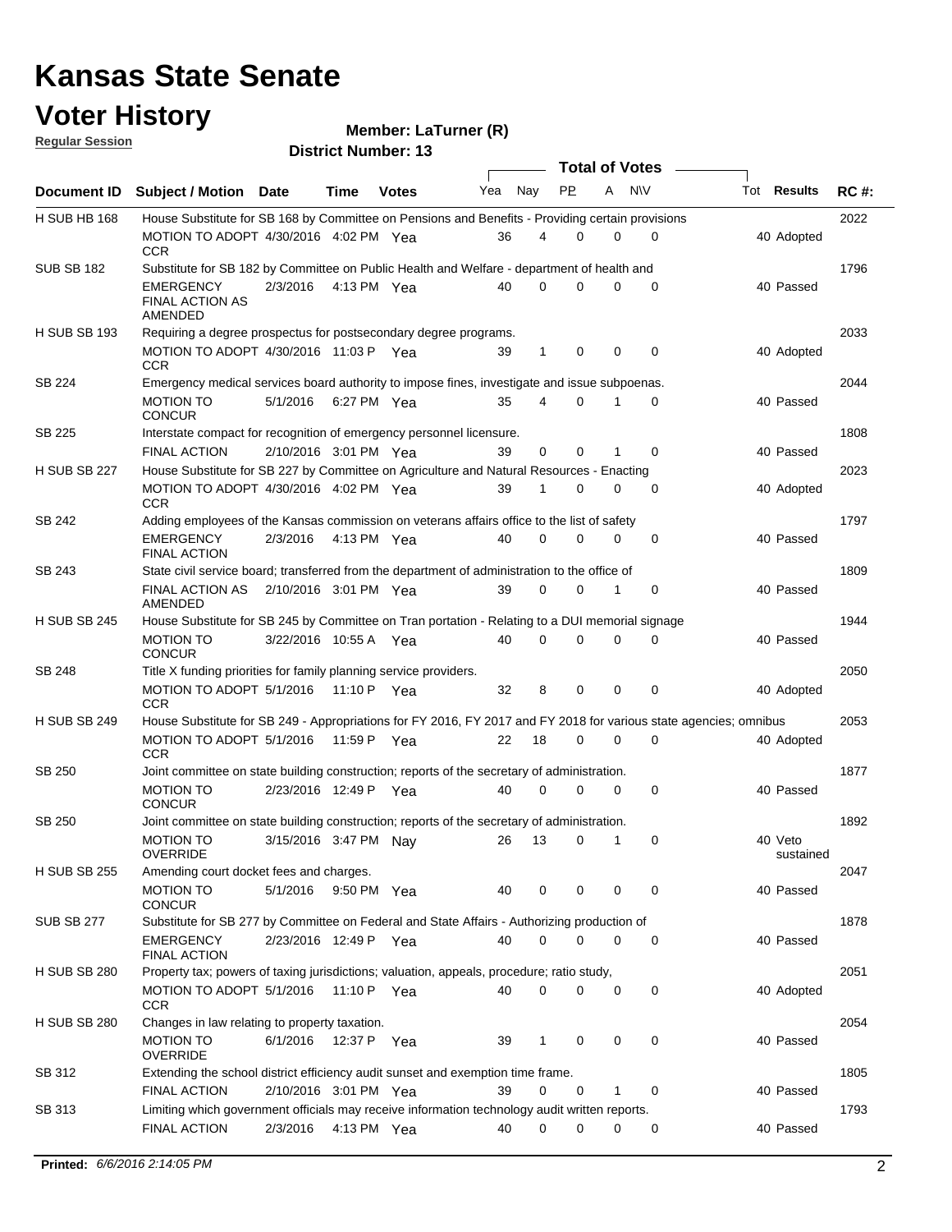### **Voter History**

| <b>Regular Session</b> |                                                                                                                                                                         |                        |      | $m$ ellinel. La juliel $(N)$ |     |          |             |          |                       |                      |             |
|------------------------|-------------------------------------------------------------------------------------------------------------------------------------------------------------------------|------------------------|------|------------------------------|-----|----------|-------------|----------|-----------------------|----------------------|-------------|
|                        |                                                                                                                                                                         |                        |      | <b>District Number: 13</b>   |     |          |             |          | <b>Total of Votes</b> |                      |             |
| Document ID            | Subject / Motion Date                                                                                                                                                   |                        | Time | <b>Votes</b>                 | Yea | Nay      | <b>PP</b>   | A        | <b>NV</b>             | Tot <b>Results</b>   | <b>RC#:</b> |
| H SUB HB 168           | House Substitute for SB 168 by Committee on Pensions and Benefits - Providing certain provisions                                                                        |                        |      |                              |     |          |             |          |                       |                      | 2022        |
|                        | MOTION TO ADOPT 4/30/2016 4:02 PM Yea<br><b>CCR</b>                                                                                                                     |                        |      |                              | 36  | 4        | 0           | 0        | 0                     | 40 Adopted           |             |
| <b>SUB SB 182</b>      | Substitute for SB 182 by Committee on Public Health and Welfare - department of health and                                                                              |                        |      |                              |     |          |             |          |                       |                      | 1796        |
|                        | EMERGENCY<br><b>FINAL ACTION AS</b><br>AMENDED                                                                                                                          | 2/3/2016               |      | 4:13 PM Yea                  | 40  | $\Omega$ | $\Omega$    | $\Omega$ | 0                     | 40 Passed            |             |
| <b>H SUB SB 193</b>    | Requiring a degree prospectus for postsecondary degree programs.                                                                                                        |                        |      |                              |     |          |             |          |                       |                      | 2033        |
|                        | MOTION TO ADOPT 4/30/2016 11:03 P Yea<br><b>CCR</b>                                                                                                                     |                        |      |                              | 39  | 1        | $\mathbf 0$ | 0        | $\mathbf 0$           | 40 Adopted           |             |
| SB 224                 | Emergency medical services board authority to impose fines, investigate and issue subpoenas.                                                                            |                        |      |                              |     |          |             |          |                       |                      | 2044        |
|                        | <b>MOTION TO</b><br><b>CONCUR</b>                                                                                                                                       | 5/1/2016 6:27 PM Yea   |      |                              | 35  | 4        | 0           | 1        | 0                     | 40 Passed            |             |
| SB 225                 | Interstate compact for recognition of emergency personnel licensure.<br><b>FINAL ACTION</b>                                                                             |                        |      |                              |     |          |             |          |                       | 40 Passed            | 1808        |
| <b>H SUB SB 227</b>    | House Substitute for SB 227 by Committee on Agriculture and Natural Resources - Enacting                                                                                | 2/10/2016 3:01 PM Yea  |      |                              | 39  | 0        | 0           | 1        | 0                     |                      | 2023        |
|                        | MOTION TO ADOPT 4/30/2016 4:02 PM Yea<br><b>CCR</b>                                                                                                                     |                        |      |                              | 39  | 1        | 0           | 0        | 0                     | 40 Adopted           |             |
| SB 242                 | Adding employees of the Kansas commission on veterans affairs office to the list of safety                                                                              |                        |      |                              |     |          |             |          |                       |                      | 1797        |
|                        | EMERGENCY<br><b>FINAL ACTION</b>                                                                                                                                        | 2/3/2016               |      | 4:13 PM Yea                  | 40  | 0        | 0           | 0        | 0                     | 40 Passed            |             |
| SB 243                 | State civil service board; transferred from the department of administration to the office of                                                                           |                        |      |                              |     |          |             |          |                       |                      | 1809        |
|                        | FINAL ACTION AS 2/10/2016 3:01 PM Yea<br>AMENDED                                                                                                                        |                        |      |                              | 39  | $\Omega$ | $\Omega$    | 1        | 0                     | 40 Passed            |             |
| <b>H SUB SB 245</b>    | House Substitute for SB 245 by Committee on Tran portation - Relating to a DUI memorial signage                                                                         |                        |      |                              |     |          |             |          |                       |                      | 1944        |
|                        | <b>MOTION TO</b><br><b>CONCUR</b>                                                                                                                                       | 3/22/2016 10:55 A Yea  |      |                              | 40  | 0        | 0           | $\Omega$ | $\Omega$              | 40 Passed            |             |
| SB 248                 | Title X funding priorities for family planning service providers.                                                                                                       |                        |      |                              |     |          |             |          |                       |                      | 2050        |
| <b>H SUB SB 249</b>    | MOTION TO ADOPT 5/1/2016 11:10 P Yea<br><b>CCR</b><br>House Substitute for SB 249 - Appropriations for FY 2016, FY 2017 and FY 2018 for various state agencies; omnibus |                        |      |                              | 32  | 8        | 0           | 0        | 0                     | 40 Adopted           | 2053        |
|                        | MOTION TO ADOPT 5/1/2016 11:59 P Yea                                                                                                                                    |                        |      |                              | 22  | 18       | 0           | 0        | 0                     | 40 Adopted           |             |
| SB 250                 | CCR<br>Joint committee on state building construction; reports of the secretary of administration.                                                                      |                        |      |                              |     |          |             |          |                       |                      | 1877        |
|                        | <b>MOTION TO</b>                                                                                                                                                        | 2/23/2016 12:49 P Yea  |      |                              | 40  | 0        | 0           | 0        | 0                     | 40 Passed            |             |
|                        | <b>CONCUR</b>                                                                                                                                                           |                        |      |                              |     |          |             |          |                       |                      |             |
| SB 250                 | Joint committee on state building construction; reports of the secretary of administration.                                                                             |                        |      |                              |     |          |             |          |                       |                      | 1892        |
|                        | <b>MOTION TO</b><br><b>OVERRIDE</b>                                                                                                                                     | 3/15/2016 3:47 PM Nay  |      |                              | 26  | 13       | 0           | 1        | 0                     | 40 Veto<br>sustained |             |
| <b>H SUB SB 255</b>    | Amending court docket fees and charges.                                                                                                                                 |                        |      |                              |     |          |             |          |                       |                      | 2047        |
|                        | MOTION TO<br><b>CONCUR</b>                                                                                                                                              | 5/1/2016               |      | 9:50 PM Yea                  | 40  | 0        | 0           | 0        | 0                     | 40 Passed            |             |
| <b>SUB SB 277</b>      | Substitute for SB 277 by Committee on Federal and State Affairs - Authorizing production of                                                                             |                        |      |                              |     |          |             |          |                       |                      | 1878        |
|                        | EMERGENCY<br><b>FINAL ACTION</b>                                                                                                                                        | 2/23/2016 12:49 P Yea  |      |                              | 40  | 0        | 0           | 0        | 0                     | 40 Passed            |             |
| <b>H SUB SB 280</b>    | Property tax; powers of taxing jurisdictions; valuation, appeals, procedure; ratio study,<br>MOTION TO ADOPT 5/1/2016 11:10 P Yea                                       |                        |      |                              | 40  | 0        | 0           | 0        | 0                     | 40 Adopted           | 2051        |
| H SUB SB 280           | <b>CCR</b><br>Changes in law relating to property taxation.                                                                                                             |                        |      |                              |     |          |             |          |                       |                      | 2054        |
|                        | MOTION TO                                                                                                                                                               | 6/1/2016 12:37 P Yea   |      |                              | 39  | 1        | 0           | 0        | 0                     | 40 Passed            |             |
| SB 312                 | <b>OVERRIDE</b><br>Extending the school district efficiency audit sunset and exemption time frame.                                                                      |                        |      |                              |     |          |             |          |                       |                      | 1805        |
|                        | <b>FINAL ACTION</b>                                                                                                                                                     | 2/10/2016 3:01 PM Yea  |      |                              | 39  | 0        | 0           | 1        | 0                     | 40 Passed            |             |
| SB 313                 | Limiting which government officials may receive information technology audit written reports.                                                                           |                        |      |                              |     |          |             |          |                       |                      | 1793        |
|                        | FINAL ACTION                                                                                                                                                            | 2/3/2016  4:13 PM  Yea |      |                              | 40  | 0        | 0           | 0        | 0                     | 40 Passed            |             |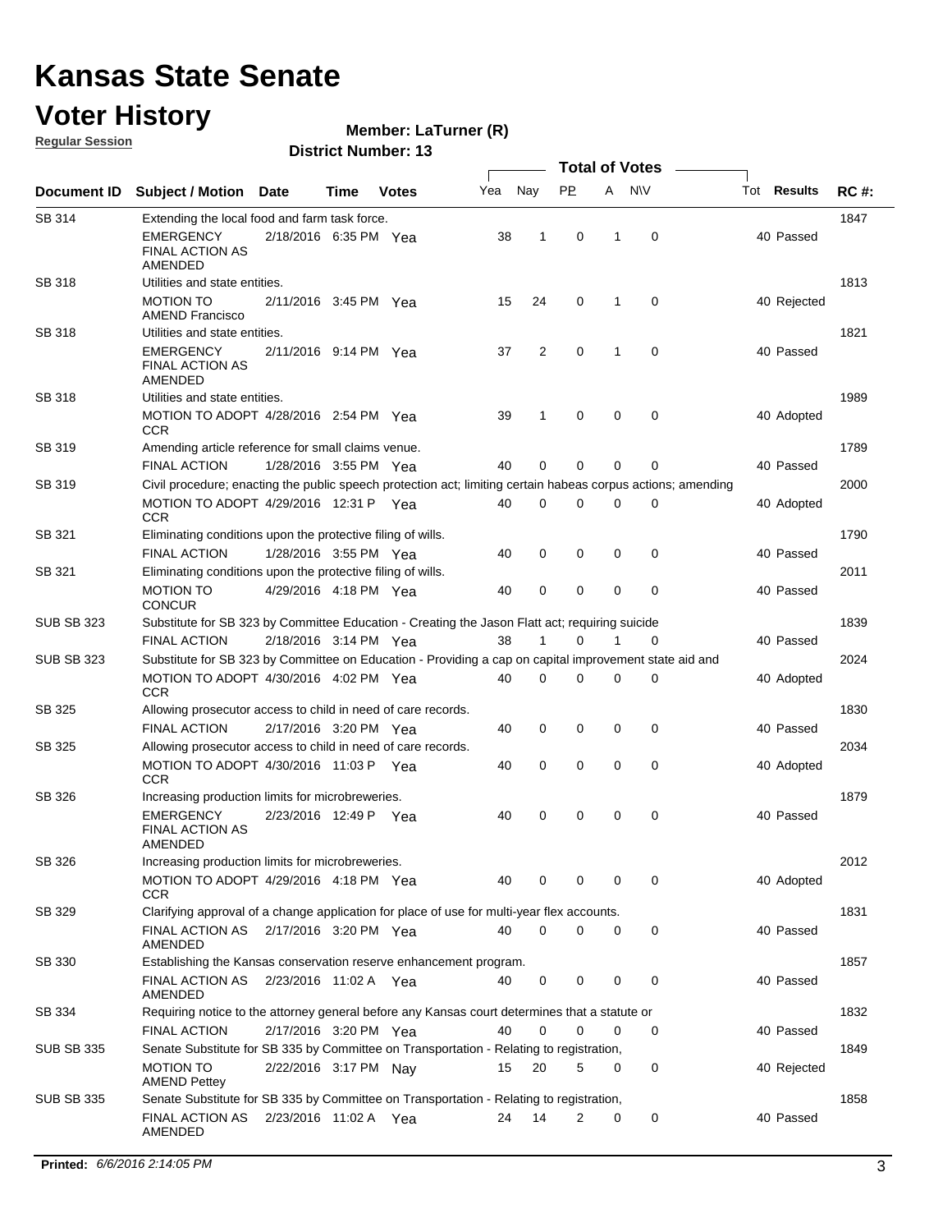### **Voter History**

**Member: LaTurner (R)** 

**Regular Session**

|                   |                                                                                                                 |                       |      |              |     |             |             |   | <b>Total of Votes</b> |                    |             |
|-------------------|-----------------------------------------------------------------------------------------------------------------|-----------------------|------|--------------|-----|-------------|-------------|---|-----------------------|--------------------|-------------|
| Document ID       | <b>Subject / Motion Date</b>                                                                                    |                       | Time | <b>Votes</b> | Yea | Nay         | <b>PP</b>   | A | <b>NV</b>             | Tot <b>Results</b> | <b>RC#:</b> |
| SB 314            | Extending the local food and farm task force.                                                                   |                       |      |              |     |             |             |   |                       |                    | 1847        |
|                   | <b>EMERGENCY</b><br><b>FINAL ACTION AS</b><br>AMENDED                                                           | 2/18/2016 6:35 PM Yea |      |              | 38  | 1           | 0           | 1 | 0                     | 40 Passed          |             |
| <b>SB 318</b>     | Utilities and state entities.                                                                                   |                       |      |              |     |             |             |   |                       |                    | 1813        |
|                   | <b>MOTION TO</b><br><b>AMEND Francisco</b>                                                                      | 2/11/2016 3:45 PM Yea |      |              | 15  | 24          | 0           | 1 | 0                     | 40 Rejected        |             |
| SB 318            | Utilities and state entities.                                                                                   |                       |      |              |     |             |             |   |                       |                    | 1821        |
|                   | <b>EMERGENCY</b><br><b>FINAL ACTION AS</b><br>AMENDED                                                           | 2/11/2016 9:14 PM Yea |      |              | 37  | 2           | $\mathbf 0$ | 1 | 0                     | 40 Passed          |             |
| SB 318            | Utilities and state entities.                                                                                   |                       |      |              |     |             |             |   |                       |                    | 1989        |
|                   | MOTION TO ADOPT 4/28/2016 2:54 PM Yea<br><b>CCR</b>                                                             |                       |      |              | 39  | 1           | 0           | 0 | 0                     | 40 Adopted         |             |
| SB 319            | Amending article reference for small claims venue.                                                              |                       |      |              |     |             |             |   |                       |                    | 1789        |
|                   | <b>FINAL ACTION</b>                                                                                             | 1/28/2016 3:55 PM Yea |      |              | 40  | $\mathbf 0$ | 0           | 0 | 0                     | 40 Passed          |             |
| SB 319            | Civil procedure; enacting the public speech protection act; limiting certain habeas corpus actions; amending    |                       |      |              |     |             |             |   |                       |                    | 2000        |
|                   | MOTION TO ADOPT 4/29/2016 12:31 P Yea<br>CCR.                                                                   |                       |      |              | 40  | $\mathbf 0$ | 0           | 0 | 0                     | 40 Adopted         |             |
| SB 321            | Eliminating conditions upon the protective filing of wills.                                                     |                       |      |              |     |             |             |   |                       |                    | 1790        |
|                   | <b>FINAL ACTION</b>                                                                                             | 1/28/2016 3:55 PM Yea |      |              | 40  | 0           | 0           | 0 | 0                     | 40 Passed          |             |
| SB 321            | Eliminating conditions upon the protective filing of wills.<br><b>MOTION TO</b>                                 | 4/29/2016 4:18 PM Yea |      |              | 40  | $\mathbf 0$ | 0           | 0 | 0                     | 40 Passed          | 2011        |
| <b>SUB SB 323</b> | <b>CONCUR</b><br>Substitute for SB 323 by Committee Education - Creating the Jason Flatt act; requiring suicide |                       |      |              |     |             |             |   |                       |                    | 1839        |
|                   | <b>FINAL ACTION</b>                                                                                             | 2/18/2016 3:14 PM Yea |      |              | 38  | 1           | 0           | 1 | 0                     | 40 Passed          |             |
| <b>SUB SB 323</b> | Substitute for SB 323 by Committee on Education - Providing a cap on capital improvement state aid and          |                       |      |              |     |             |             |   |                       |                    | 2024        |
|                   | MOTION TO ADOPT 4/30/2016 4:02 PM Yea<br><b>CCR</b>                                                             |                       |      |              | 40  | $\mathbf 0$ | 0           | 0 | 0                     | 40 Adopted         |             |
| SB 325            | Allowing prosecutor access to child in need of care records.                                                    |                       |      |              |     |             |             |   |                       |                    | 1830        |
|                   | <b>FINAL ACTION</b>                                                                                             | 2/17/2016 3:20 PM Yea |      |              | 40  | 0           | 0           | 0 | 0                     | 40 Passed          |             |
| SB 325            | Allowing prosecutor access to child in need of care records.                                                    |                       |      |              |     |             |             |   |                       |                    | 2034        |
|                   | MOTION TO ADOPT 4/30/2016 11:03 P Yea<br><b>CCR</b>                                                             |                       |      |              | 40  | $\mathbf 0$ | 0           | 0 | 0                     | 40 Adopted         |             |
| SB 326            | Increasing production limits for microbreweries.                                                                |                       |      |              |     |             |             |   |                       |                    | 1879        |
|                   | <b>EMERGENCY</b><br>FINAL ACTION AS<br>AMENDED                                                                  | 2/23/2016 12:49 P Yea |      |              | 40  | $\mathbf 0$ | 0           | 0 | 0                     | 40 Passed          |             |
| SB 326            | Increasing production limits for microbreweries.                                                                |                       |      |              |     |             |             |   |                       |                    | 2012        |
|                   | MOTION TO ADOPT 4/29/2016 4:18 PM Yea<br>CCR                                                                    |                       |      |              | 40  | 0           | 0           | 0 | 0                     | 40 Adopted         |             |
| SB 329            | Clarifying approval of a change application for place of use for multi-year flex accounts.                      |                       |      |              |     |             |             |   |                       |                    | 1831        |
|                   | FINAL ACTION AS 2/17/2016 3:20 PM Yea<br>AMENDED                                                                |                       |      |              | 40  | $\mathbf 0$ | 0           | 0 | 0                     | 40 Passed          |             |
| SB 330            | Establishing the Kansas conservation reserve enhancement program.                                               |                       |      |              |     |             |             |   |                       |                    | 1857        |
|                   | FINAL ACTION AS  2/23/2016  11:02 A  Yea<br>AMENDED                                                             |                       |      |              | 40  | 0           | 0           | 0 | $\mathbf 0$           | 40 Passed          |             |
| SB 334            | Requiring notice to the attorney general before any Kansas court determines that a statute or                   |                       |      |              |     |             |             |   |                       |                    | 1832        |
|                   | FINAL ACTION                                                                                                    | 2/17/2016 3:20 PM Yea |      |              | 40  | 0           | 0           | 0 | 0                     | 40 Passed          |             |
| <b>SUB SB 335</b> | Senate Substitute for SB 335 by Committee on Transportation - Relating to registration,                         |                       |      |              |     |             |             |   |                       |                    | 1849        |
|                   | <b>MOTION TO</b><br><b>AMEND Pettey</b>                                                                         | 2/22/2016 3:17 PM Nay |      |              | 15  | 20          | 5           | 0 | 0                     | 40 Rejected        |             |
| <b>SUB SB 335</b> | Senate Substitute for SB 335 by Committee on Transportation - Relating to registration,                         |                       |      |              |     |             |             |   |                       |                    | 1858        |
|                   | FINAL ACTION AS<br>AMENDED                                                                                      | 2/23/2016 11:02 A Yea |      |              | 24  | 14          | 2           | 0 | 0                     | 40 Passed          |             |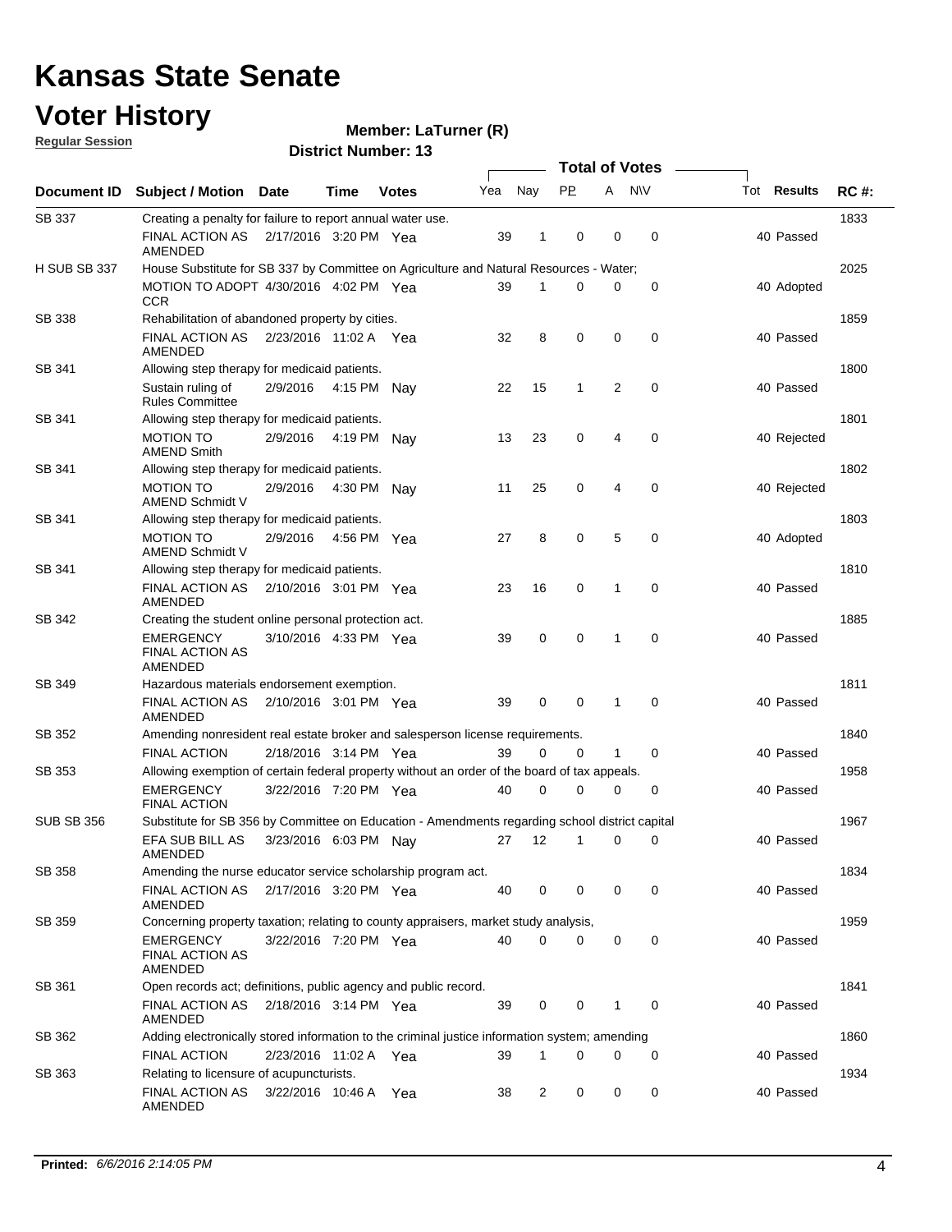### **Voter History**

**Member: LaTurner (R)** 

**Regular Session**

|                     |                                                                                                |                       |             |              |     |             |              | <b>Total of Votes</b> |             |                    |             |
|---------------------|------------------------------------------------------------------------------------------------|-----------------------|-------------|--------------|-----|-------------|--------------|-----------------------|-------------|--------------------|-------------|
| Document ID         | <b>Subject / Motion</b>                                                                        | Date                  | Time        | <b>Votes</b> | Yea | Nay         | <b>PP</b>    | A                     | <b>NV</b>   | Tot <b>Results</b> | <b>RC#:</b> |
| <b>SB 337</b>       | Creating a penalty for failure to report annual water use.                                     |                       |             |              |     |             |              |                       |             |                    | 1833        |
|                     | FINAL ACTION AS<br><b>AMENDED</b>                                                              | 2/17/2016 3:20 PM Yea |             |              | 39  | 1           | 0            | 0                     | 0           | 40 Passed          |             |
| <b>H SUB SB 337</b> | House Substitute for SB 337 by Committee on Agriculture and Natural Resources - Water;         |                       |             |              |     |             |              |                       |             |                    | 2025        |
|                     | MOTION TO ADOPT 4/30/2016 4:02 PM Yea<br><b>CCR</b>                                            |                       |             |              | 39  | 1           | 0            | 0                     | 0           | 40 Adopted         |             |
| <b>SB 338</b>       | Rehabilitation of abandoned property by cities.                                                |                       |             |              |     |             |              |                       |             |                    | 1859        |
|                     | FINAL ACTION AS  2/23/2016  11:02 A  Yea<br>AMENDED                                            |                       |             |              | 32  | 8           | 0            | $\mathbf 0$           | 0           | 40 Passed          |             |
| SB 341              | Allowing step therapy for medicaid patients.                                                   |                       |             |              |     |             |              |                       |             |                    | 1800        |
|                     | Sustain ruling of<br><b>Rules Committee</b>                                                    | 2/9/2016              | 4:15 PM     | Nav          | 22  | 15          | $\mathbf{1}$ | $\overline{2}$        | $\mathbf 0$ | 40 Passed          |             |
| SB 341              | Allowing step therapy for medicaid patients.                                                   |                       |             |              |     |             |              |                       |             |                    | 1801        |
|                     | <b>MOTION TO</b><br><b>AMEND Smith</b>                                                         | 2/9/2016              | 4:19 PM     | Nav          | 13  | 23          | 0            | 4                     | 0           | 40 Rejected        |             |
| SB 341              | Allowing step therapy for medicaid patients.                                                   |                       |             |              |     |             |              |                       |             |                    | 1802        |
|                     | <b>MOTION TO</b><br>AMEND Schmidt V                                                            | 2/9/2016              | 4:30 PM     | Nav          | 11  | 25          | 0            | 4                     | 0           | 40 Rejected        |             |
| SB 341              | Allowing step therapy for medicaid patients.                                                   |                       |             |              |     |             |              |                       |             |                    | 1803        |
|                     | <b>MOTION TO</b><br>AMEND Schmidt V                                                            | 2/9/2016              | 4:56 PM Yea |              | 27  | 8           | 0            | 5                     | 0           | 40 Adopted         |             |
| SB 341              | Allowing step therapy for medicaid patients.                                                   |                       |             |              |     |             |              |                       |             |                    | 1810        |
|                     | <b>FINAL ACTION AS</b><br>AMENDED                                                              | 2/10/2016 3:01 PM Yea |             |              | 23  | 16          | 0            | 1                     | $\mathbf 0$ | 40 Passed          |             |
| SB 342              | Creating the student online personal protection act.                                           |                       |             |              |     |             |              |                       |             |                    | 1885        |
|                     | <b>EMERGENCY</b><br><b>FINAL ACTION AS</b><br>AMENDED                                          | 3/10/2016 4:33 PM Yea |             |              | 39  | $\mathbf 0$ | 0            | 1                     | 0           | 40 Passed          |             |
| SB 349              | Hazardous materials endorsement exemption.                                                     |                       |             |              |     |             |              |                       |             |                    | 1811        |
|                     | <b>FINAL ACTION AS</b><br>AMENDED                                                              | 2/10/2016 3:01 PM Yea |             |              | 39  | 0           | 0            | 1                     | 0           | 40 Passed          |             |
| SB 352              | Amending nonresident real estate broker and salesperson license requirements.                  |                       |             |              |     |             |              |                       |             |                    | 1840        |
|                     | <b>FINAL ACTION</b>                                                                            | 2/18/2016 3:14 PM Yea |             |              | 39  | 0           | 0            | 1                     | 0           | 40 Passed          |             |
| SB 353              | Allowing exemption of certain federal property without an order of the board of tax appeals.   |                       |             |              |     |             |              |                       |             |                    | 1958        |
|                     | <b>EMERGENCY</b><br><b>FINAL ACTION</b>                                                        | 3/22/2016 7:20 PM Yea |             |              | 40  | 0           | 0            | 0                     | 0           | 40 Passed          |             |
| <b>SUB SB 356</b>   | Substitute for SB 356 by Committee on Education - Amendments regarding school district capital |                       |             |              |     |             |              |                       |             |                    | 1967        |
|                     | EFA SUB BILL AS<br>AMENDED                                                                     | 3/23/2016 6:03 PM Nay |             |              | 27  | 12          | 1            | 0                     | 0           | 40 Passed          |             |
| SB 358              | Amending the nurse educator service scholarship program act.                                   |                       |             |              |     |             |              |                       |             |                    | 1834        |
|                     | FINAL ACTION AS<br>AMENDED                                                                     | 2/17/2016 3:20 PM Yea |             |              | 40  | 0           | 0            | 0                     | 0           | 40 Passed          |             |
| SB 359              | Concerning property taxation; relating to county appraisers, market study analysis,            |                       |             |              |     |             |              |                       |             |                    | 1959        |
|                     | <b>EMERGENCY</b><br><b>FINAL ACTION AS</b><br>AMENDED                                          | 3/22/2016 7:20 PM Yea |             |              | 40  | 0           | 0            | 0                     | 0           | 40 Passed          |             |
| SB 361              | Open records act; definitions, public agency and public record.                                |                       |             |              |     |             |              |                       |             |                    | 1841        |
|                     | FINAL ACTION AS<br>AMENDED                                                                     | 2/18/2016 3:14 PM Yea |             |              | 39  | 0           | 0            | 1                     | 0           | 40 Passed          |             |
| SB 362              | Adding electronically stored information to the criminal justice information system; amending  |                       |             |              |     |             |              |                       |             |                    | 1860        |
|                     | <b>FINAL ACTION</b>                                                                            | 2/23/2016 11:02 A Yea |             |              | 39  | 1           | 0            | 0                     | 0           | 40 Passed          |             |
| SB 363              | Relating to licensure of acupuncturists.                                                       |                       |             |              |     |             |              |                       |             |                    | 1934        |
|                     | FINAL ACTION AS<br>AMENDED                                                                     | 3/22/2016 10:46 A     |             | Yea          | 38  | 2           | 0            | 0                     | 0           | 40 Passed          |             |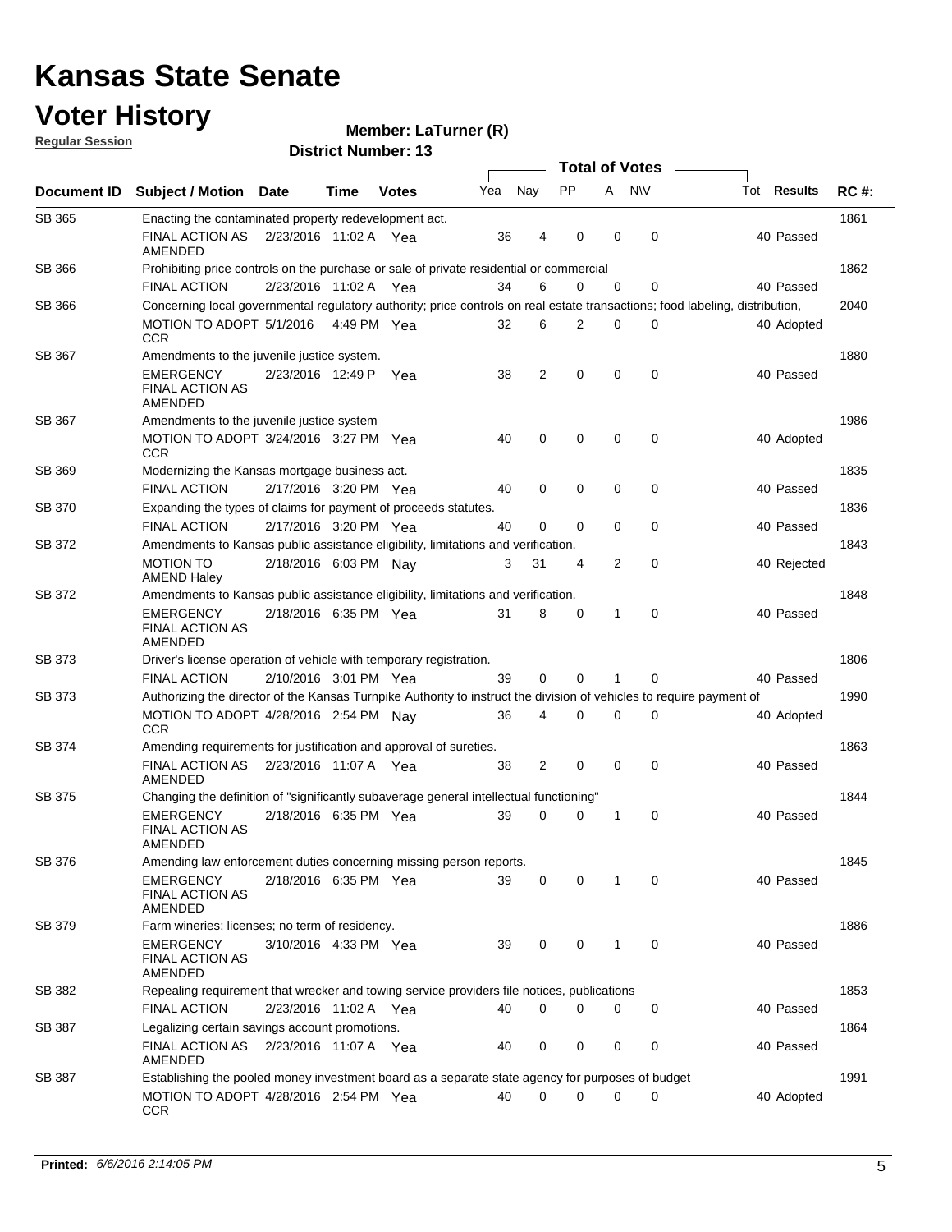#### **Voter History**

**Regular Session**

| <u>INGUMAL OGGSION</u> |                                                                                                                              |                       |             | <b>District Number: 13</b> |     |             |           |              |                  |                    |             |
|------------------------|------------------------------------------------------------------------------------------------------------------------------|-----------------------|-------------|----------------------------|-----|-------------|-----------|--------------|------------------|--------------------|-------------|
|                        |                                                                                                                              |                       |             |                            |     |             |           |              | Total of Votes – |                    |             |
| Document ID            | <b>Subject / Motion Date</b>                                                                                                 |                       | Time        | <b>Votes</b>               | Yea | Nay         | <b>PP</b> | A            | <b>NV</b>        | Tot <b>Results</b> | <b>RC#:</b> |
| SB 365                 | Enacting the contaminated property redevelopment act.                                                                        |                       |             |                            |     |             |           |              |                  |                    | 1861        |
|                        | FINAL ACTION AS 2/23/2016 11:02 A Yea<br>AMENDED                                                                             |                       |             |                            | 36  |             | 0         | 0            | $\mathbf 0$      | 40 Passed          |             |
| SB 366                 | Prohibiting price controls on the purchase or sale of private residential or commercial                                      |                       |             |                            |     |             |           |              |                  |                    | 1862        |
|                        | <b>FINAL ACTION</b>                                                                                                          | 2/23/2016 11:02 A Yea |             |                            | 34  | 6           | 0         | 0            | 0                | 40 Passed          |             |
| SB 366                 | Concerning local governmental regulatory authority; price controls on real estate transactions; food labeling, distribution, |                       |             |                            |     |             |           |              |                  |                    | 2040        |
|                        | MOTION TO ADOPT 5/1/2016<br><b>CCR</b>                                                                                       |                       | 4:49 PM Yea |                            | 32  | 6           | 2         | 0            | 0                | 40 Adopted         |             |
| SB 367                 | Amendments to the juvenile justice system.                                                                                   |                       |             |                            |     |             |           |              |                  |                    | 1880        |
|                        | <b>EMERGENCY</b><br><b>FINAL ACTION AS</b><br>AMENDED                                                                        | 2/23/2016 12:49 P Yea |             |                            | 38  | 2           | 0         | $\mathbf 0$  | $\mathbf 0$      | 40 Passed          |             |
| SB 367                 | Amendments to the juvenile justice system                                                                                    |                       |             |                            |     |             |           |              |                  |                    | 1986        |
|                        | MOTION TO ADOPT 3/24/2016 3:27 PM Yea<br><b>CCR</b>                                                                          |                       |             |                            | 40  | 0           | 0         | 0            | 0                | 40 Adopted         |             |
| SB 369                 | Modernizing the Kansas mortgage business act.                                                                                |                       |             |                            |     |             |           |              |                  |                    | 1835        |
|                        | <b>FINAL ACTION</b>                                                                                                          | 2/17/2016 3:20 PM Yea |             |                            | 40  | $\mathbf 0$ | 0         | 0            | $\mathbf 0$      | 40 Passed          |             |
| SB 370                 | Expanding the types of claims for payment of proceeds statutes.                                                              |                       |             |                            |     |             |           |              |                  |                    | 1836        |
|                        | <b>FINAL ACTION</b>                                                                                                          | 2/17/2016 3:20 PM Yea |             |                            | 40  | 0           | 0         | 0            | $\mathbf 0$      | 40 Passed          |             |
| SB 372                 | Amendments to Kansas public assistance eligibility, limitations and verification.                                            |                       |             |                            |     |             |           |              |                  |                    | 1843        |
|                        | <b>MOTION TO</b><br><b>AMEND Haley</b>                                                                                       | 2/18/2016 6:03 PM Nav |             |                            | 3   | 31          | 4         | 2            | 0                | 40 Rejected        |             |
| <b>SB 372</b>          | Amendments to Kansas public assistance eligibility, limitations and verification.                                            |                       |             |                            |     |             |           |              |                  |                    | 1848        |
|                        | <b>EMERGENCY</b><br><b>FINAL ACTION AS</b><br>AMENDED                                                                        | 2/18/2016 6:35 PM Yea |             |                            | 31  | 8           | 0         | 1            | 0                | 40 Passed          |             |
| SB 373                 | Driver's license operation of vehicle with temporary registration.                                                           |                       |             |                            |     |             |           |              |                  |                    | 1806        |
|                        | <b>FINAL ACTION</b>                                                                                                          | 2/10/2016 3:01 PM Yea |             |                            | 39  | 0           | 0         | 1            | 0                | 40 Passed          |             |
| SB 373                 | Authorizing the director of the Kansas Turnpike Authority to instruct the division of vehicles to require payment of         |                       |             |                            |     |             |           |              |                  |                    | 1990        |
|                        | MOTION TO ADOPT 4/28/2016 2:54 PM Nav<br><b>CCR</b>                                                                          |                       |             |                            | 36  | 4           | 0         | 0            | 0                | 40 Adopted         |             |
| SB 374                 | Amending requirements for justification and approval of sureties.                                                            |                       |             |                            |     |             |           |              |                  |                    | 1863        |
|                        | FINAL ACTION AS<br><b>AMENDED</b>                                                                                            | 2/23/2016 11:07 A Yea |             |                            | 38  | 2           | 0         | 0            | $\mathbf 0$      | 40 Passed          |             |
| SB 375                 | Changing the definition of "significantly subaverage general intellectual functioning"                                       |                       |             |                            |     |             |           |              |                  |                    | 1844        |
|                        | <b>EMERGENCY</b><br><b>FINAL ACTION AS</b><br>AMENDED                                                                        | 2/18/2016 6:35 PM Yea |             |                            | 39  | 0           | 0         | 1            | 0                | 40 Passed          |             |
| SB 376                 | Amending law enforcement duties concerning missing person reports.                                                           |                       |             |                            |     |             |           |              |                  |                    | 1845        |
|                        | <b>EMERGENCY</b><br>FINAL ACTION AS<br>AMENDED                                                                               | 2/18/2016 6:35 PM Yea |             |                            | 39  | 0           | 0         | $\mathbf{1}$ | 0                | 40 Passed          |             |
| SB 379                 | Farm wineries; licenses; no term of residency.                                                                               |                       |             |                            |     |             |           |              |                  |                    | 1886        |
|                        | <b>EMERGENCY</b><br><b>FINAL ACTION AS</b><br>AMENDED                                                                        | 3/10/2016 4:33 PM Yea |             |                            | 39  | 0           | 0         | $\mathbf{1}$ | 0                | 40 Passed          |             |
| SB 382                 | Repealing requirement that wrecker and towing service providers file notices, publications                                   |                       |             |                            |     |             |           |              |                  |                    | 1853        |
|                        | <b>FINAL ACTION</b>                                                                                                          | 2/23/2016 11:02 A Yea |             |                            | 40  | 0           | 0         | 0            | 0                | 40 Passed          |             |
| SB 387                 | Legalizing certain savings account promotions.                                                                               |                       |             |                            |     |             |           |              |                  |                    | 1864        |
|                        | FINAL ACTION AS<br>AMENDED                                                                                                   | 2/23/2016 11:07 A Yea |             |                            | 40  | 0           | 0         | 0            | 0                | 40 Passed          |             |
| SB 387                 | Establishing the pooled money investment board as a separate state agency for purposes of budget                             |                       |             |                            |     |             |           |              |                  |                    | 1991        |
|                        | MOTION TO ADOPT 4/28/2016 2:54 PM Yea<br><b>CCR</b>                                                                          |                       |             |                            | 40  | 0           | 0         | 0            | 0                | 40 Adopted         |             |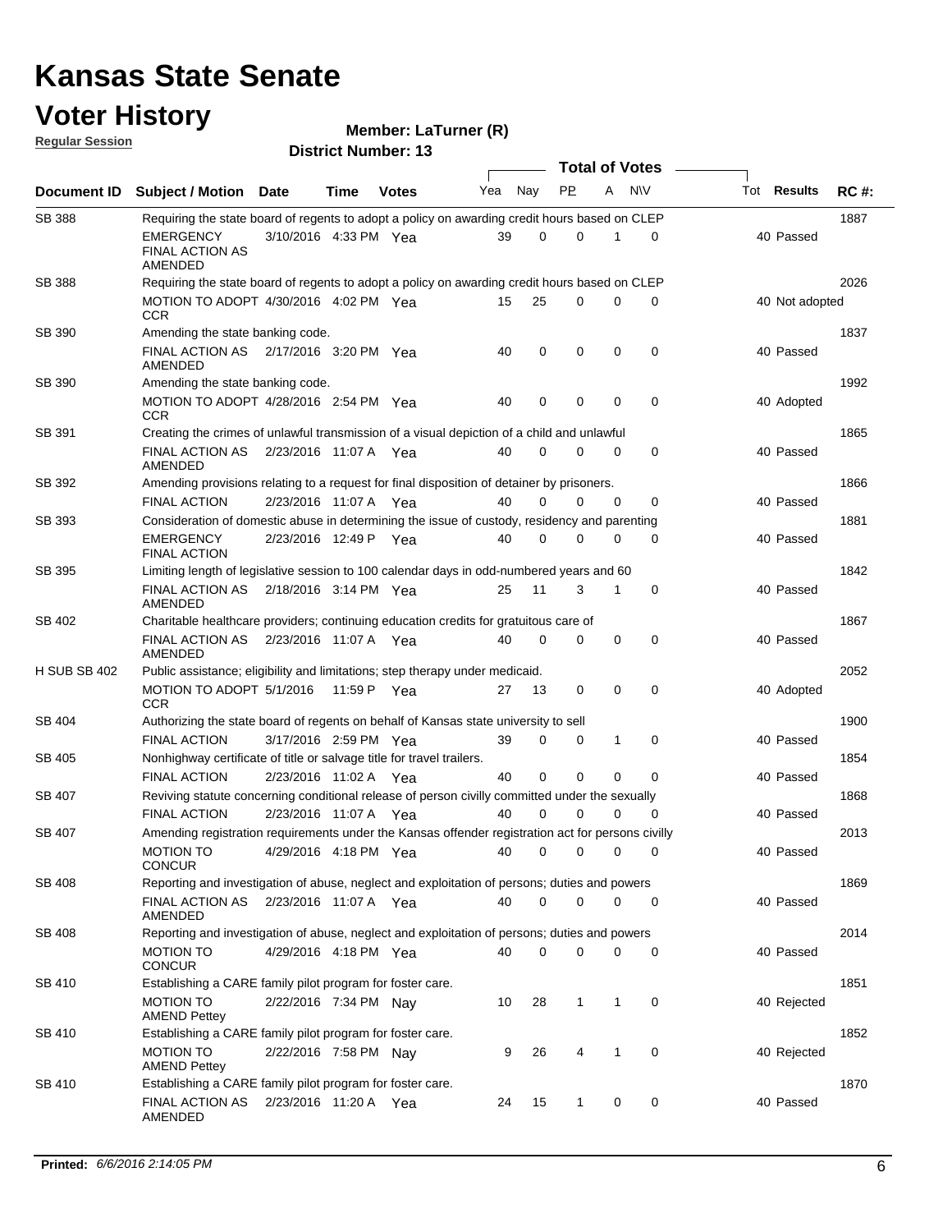### **Voter History**

**Regular Session**

**LaTurner (R)**

| <u>noquial ocoolori</u> |                                                                                                   |                       |             | <b>District Number: 13</b> |     |          |              |              |                       |                    |             |
|-------------------------|---------------------------------------------------------------------------------------------------|-----------------------|-------------|----------------------------|-----|----------|--------------|--------------|-----------------------|--------------------|-------------|
|                         |                                                                                                   |                       |             |                            |     |          |              |              | <b>Total of Votes</b> |                    |             |
| Document ID             | <b>Subject / Motion</b>                                                                           | Date                  | <b>Time</b> | <b>Votes</b>               | Yea | Nay      | <b>PP</b>    | A            | N\V                   | Tot <b>Results</b> | <b>RC#:</b> |
| <b>SB 388</b>           | Requiring the state board of regents to adopt a policy on awarding credit hours based on CLEP     |                       |             |                            |     |          |              |              |                       |                    | 1887        |
|                         | EMERGENCY<br><b>FINAL ACTION AS</b><br><b>AMENDED</b>                                             | 3/10/2016 4:33 PM Yea |             |                            | 39  | 0        | 0            | 1            | 0                     | 40 Passed          |             |
| <b>SB 388</b>           | Requiring the state board of regents to adopt a policy on awarding credit hours based on CLEP     |                       |             |                            |     |          |              |              |                       |                    | 2026        |
|                         | MOTION TO ADOPT 4/30/2016 4:02 PM Yea<br><b>CCR</b>                                               |                       |             |                            | 15  | 25       | $\mathbf 0$  | 0            | $\mathbf 0$           | 40 Not adopted     |             |
| SB 390                  | Amending the state banking code.                                                                  |                       |             |                            |     |          |              |              |                       |                    | 1837        |
|                         | FINAL ACTION AS 2/17/2016 3:20 PM Yea<br>AMENDED                                                  |                       |             |                            | 40  | 0        | 0            | 0            | $\mathbf 0$           | 40 Passed          |             |
| SB 390                  | Amending the state banking code.                                                                  |                       |             |                            |     |          |              |              |                       |                    | 1992        |
|                         | MOTION TO ADOPT 4/28/2016 2:54 PM Yea<br><b>CCR</b>                                               |                       |             |                            | 40  | 0        | 0            | 0            | 0                     | 40 Adopted         |             |
| SB 391                  | Creating the crimes of unlawful transmission of a visual depiction of a child and unlawful        |                       |             |                            |     |          |              |              |                       |                    | 1865        |
|                         | <b>FINAL ACTION AS</b><br>AMENDED                                                                 | 2/23/2016 11:07 A Yea |             |                            | 40  | 0        | $\Omega$     | $\Omega$     | 0                     | 40 Passed          |             |
| SB 392                  | Amending provisions relating to a request for final disposition of detainer by prisoners.         |                       |             |                            |     |          |              |              |                       |                    | 1866        |
|                         | <b>FINAL ACTION</b>                                                                               | 2/23/2016 11:07 A     |             | Yea                        | 40  | 0        | 0            | $\mathbf 0$  | 0                     | 40 Passed          |             |
| SB 393                  | Consideration of domestic abuse in determining the issue of custody, residency and parenting      |                       |             |                            |     |          |              |              |                       |                    | 1881        |
|                         | <b>EMERGENCY</b><br><b>FINAL ACTION</b>                                                           | 2/23/2016 12:49 P Yea |             |                            | 40  | 0        | 0            | 0            | 0                     | 40 Passed          |             |
| SB 395                  | Limiting length of legislative session to 100 calendar days in odd-numbered years and 60          |                       |             |                            |     |          |              |              |                       |                    | 1842        |
|                         | <b>FINAL ACTION AS</b><br>AMENDED                                                                 | 2/18/2016 3:14 PM Yea |             |                            | 25  | 11       | 3            | $\mathbf{1}$ | 0                     | 40 Passed          |             |
| SB 402                  | Charitable healthcare providers; continuing education credits for gratuitous care of              |                       |             |                            |     |          |              |              |                       |                    | 1867        |
|                         | FINAL ACTION AS<br>AMENDED                                                                        | 2/23/2016 11:07 A Yea |             |                            | 40  | $\Omega$ | 0            | 0            | 0                     | 40 Passed          |             |
| <b>H SUB SB 402</b>     | Public assistance; eligibility and limitations; step therapy under medicaid.                      |                       |             |                            |     |          |              |              |                       |                    | 2052        |
|                         | MOTION TO ADOPT 5/1/2016<br><b>CCR</b>                                                            |                       | 11:59 P     | Yea                        | 27  | 13       | 0            | $\mathbf 0$  | 0                     | 40 Adopted         |             |
| SB 404                  | Authorizing the state board of regents on behalf of Kansas state university to sell               |                       |             |                            |     |          |              |              |                       |                    | 1900        |
|                         | <b>FINAL ACTION</b>                                                                               | 3/17/2016 2:59 PM Yea |             |                            | 39  | 0        | 0            | 1            | 0                     | 40 Passed          |             |
| SB 405                  | Nonhighway certificate of title or salvage title for travel trailers.                             |                       |             |                            |     |          |              |              |                       |                    | 1854        |
|                         | <b>FINAL ACTION</b>                                                                               | 2/23/2016 11:02 A Yea |             |                            | 40  | 0        | $\mathbf 0$  | $\Omega$     | 0                     | 40 Passed          |             |
| SB 407                  | Reviving statute concerning conditional release of person civilly committed under the sexually    |                       |             |                            |     |          |              |              |                       |                    | 1868        |
|                         | <b>FINAL ACTION</b>                                                                               | 2/23/2016 11:07 A Yea |             |                            | 40  | $\Omega$ | 0            | $\Omega$     | 0                     | 40 Passed          |             |
| SB 407                  | Amending registration requirements under the Kansas offender registration act for persons civilly |                       |             |                            |     |          |              |              |                       |                    | 2013        |
|                         | <b>MOTION TO</b><br><b>CONCUR</b>                                                                 | 4/29/2016 4:18 PM Yea |             |                            | 40  | 0        | 0            | 0            | 0                     | 40 Passed          |             |
| <b>SB 408</b>           | Reporting and investigation of abuse, neglect and exploitation of persons; duties and powers      |                       |             |                            |     |          |              |              |                       |                    | 1869        |
|                         | FINAL ACTION AS<br>AMENDED                                                                        | 2/23/2016 11:07 A Yea |             |                            | 40  | 0        | 0            | 0            | 0                     | 40 Passed          |             |
| SB 408                  | Reporting and investigation of abuse, neglect and exploitation of persons; duties and powers      |                       |             |                            |     |          |              |              |                       |                    | 2014        |
|                         | <b>MOTION TO</b><br><b>CONCUR</b>                                                                 | 4/29/2016 4:18 PM Yea |             |                            | 40  | 0        | 0            | 0            | 0                     | 40 Passed          |             |
| SB 410                  | Establishing a CARE family pilot program for foster care.                                         |                       |             |                            |     |          |              |              |                       |                    | 1851        |
|                         | <b>MOTION TO</b><br><b>AMEND Pettey</b>                                                           | 2/22/2016 7:34 PM Nav |             |                            | 10  | 28       | $\mathbf{1}$ | 1            | 0                     | 40 Rejected        |             |
| SB 410                  | Establishing a CARE family pilot program for foster care.                                         |                       |             |                            |     |          |              |              |                       |                    | 1852        |
|                         | <b>MOTION TO</b><br><b>AMEND Pettey</b>                                                           | 2/22/2016 7:58 PM Nay |             |                            | 9   | 26       | 4            | 1            | 0                     | 40 Rejected        |             |
| SB 410                  | Establishing a CARE family pilot program for foster care.                                         |                       |             |                            |     |          |              |              |                       |                    | 1870        |
|                         | FINAL ACTION AS<br>AMENDED                                                                        | 2/23/2016 11:20 A Yea |             |                            | 24  | 15       | 1            | 0            | 0                     | 40 Passed          |             |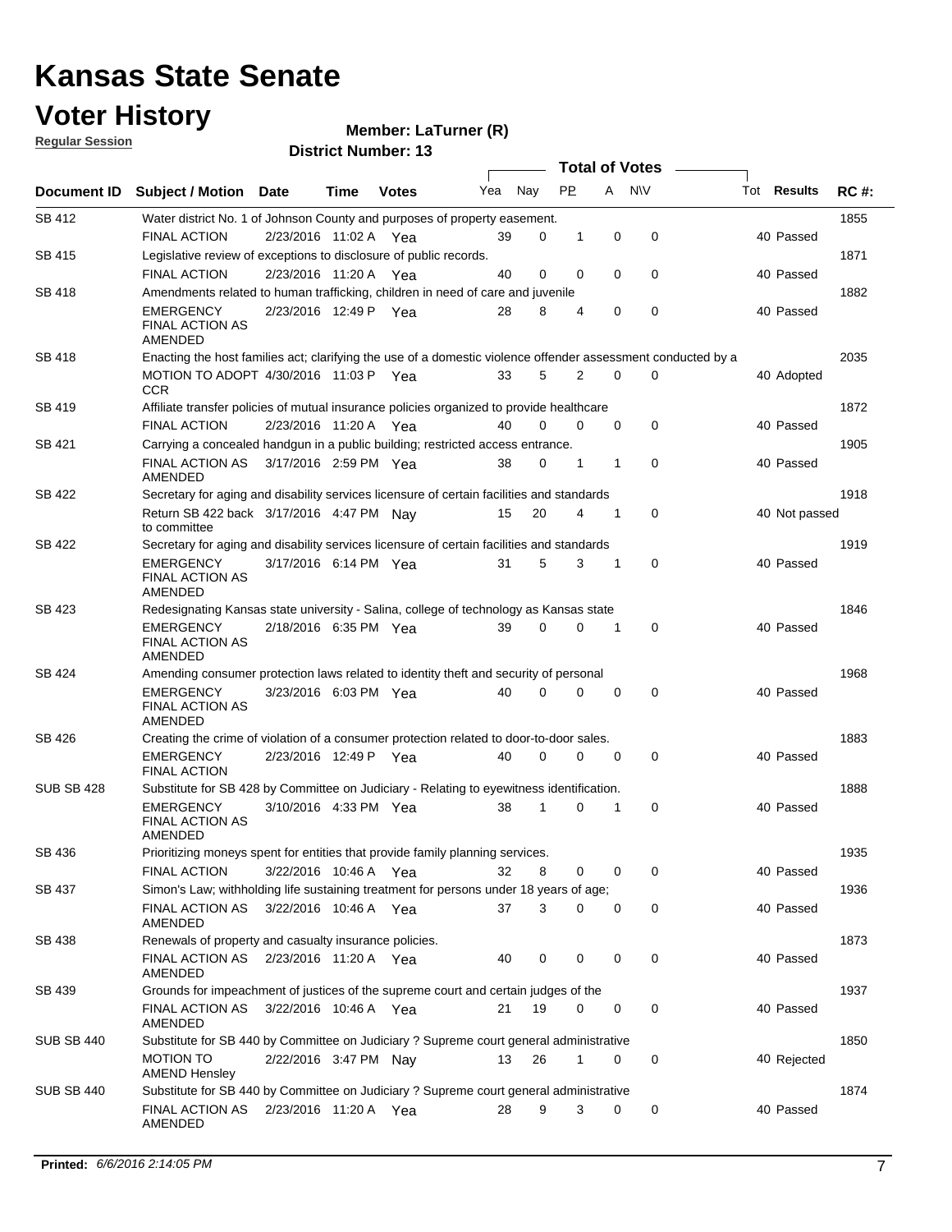#### **Voter History**

**Regular Session**

| <u>INGUNIAI UGJJIUIT</u> |                                                                                                              |                       |             | <b>District Number: 13</b> |     |             |             |             |                  |                    |             |
|--------------------------|--------------------------------------------------------------------------------------------------------------|-----------------------|-------------|----------------------------|-----|-------------|-------------|-------------|------------------|--------------------|-------------|
|                          |                                                                                                              |                       |             |                            |     |             |             |             | Total of Votes - |                    |             |
| Document ID              | <b>Subject / Motion Date</b>                                                                                 |                       | <b>Time</b> | <b>Votes</b>               | Yea | Nay         | <b>PP</b>   |             | A NW             | Tot <b>Results</b> | <b>RC#:</b> |
| SB 412                   | Water district No. 1 of Johnson County and purposes of property easement.<br><b>FINAL ACTION</b>             | 2/23/2016 11:02 A Yea |             |                            | 39  | 0           | 1           | $\mathbf 0$ | $\mathbf 0$      | 40 Passed          | 1855        |
|                          | Legislative review of exceptions to disclosure of public records.                                            |                       |             |                            |     |             |             |             |                  |                    | 1871        |
| SB 415                   |                                                                                                              |                       |             |                            |     |             |             | $\Omega$    |                  |                    |             |
|                          | <b>FINAL ACTION</b>                                                                                          | 2/23/2016 11:20 A Yea |             |                            | 40  | $\mathbf 0$ | 0           |             | $\mathbf 0$      | 40 Passed          |             |
| SB 418                   | Amendments related to human trafficking, children in need of care and juvenile                               |                       |             |                            |     |             |             |             |                  |                    | 1882        |
|                          | <b>EMERGENCY</b><br><b>FINAL ACTION AS</b><br>AMENDED                                                        | 2/23/2016 12:49 P Yea |             |                            | 28  | 8           | 4           | $\mathbf 0$ | 0                | 40 Passed          |             |
| SB 418                   | Enacting the host families act; clarifying the use of a domestic violence offender assessment conducted by a |                       |             |                            |     |             |             |             |                  |                    | 2035        |
|                          | MOTION TO ADOPT 4/30/2016 11:03 P Yea<br><b>CCR</b>                                                          |                       |             |                            | 33  | 5           | 2           | $\mathbf 0$ | 0                | 40 Adopted         |             |
| SB 419                   | Affiliate transfer policies of mutual insurance policies organized to provide healthcare                     |                       |             |                            |     |             |             |             |                  |                    | 1872        |
|                          | <b>FINAL ACTION</b>                                                                                          | 2/23/2016 11:20 A Yea |             |                            | 40  | $\mathbf 0$ | $\Omega$    | $\mathbf 0$ | 0                | 40 Passed          |             |
| SB 421                   | Carrying a concealed handgun in a public building; restricted access entrance.                               |                       |             |                            |     |             |             |             |                  |                    | 1905        |
|                          | <b>FINAL ACTION AS</b><br>AMENDED                                                                            | 3/17/2016 2:59 PM Yea |             |                            | 38  | 0           | 1           | 1           | 0                | 40 Passed          |             |
| SB 422                   | Secretary for aging and disability services licensure of certain facilities and standards                    |                       |             |                            |     |             |             |             |                  |                    | 1918        |
|                          | Return SB 422 back 3/17/2016 4:47 PM Nay<br>to committee                                                     |                       |             |                            | 15  | 20          | 4           | 1           | 0                | 40 Not passed      |             |
| SB 422                   | Secretary for aging and disability services licensure of certain facilities and standards                    |                       |             |                            |     |             |             |             |                  |                    | 1919        |
|                          | <b>EMERGENCY</b><br><b>FINAL ACTION AS</b><br><b>AMENDED</b>                                                 | 3/17/2016 6:14 PM Yea |             |                            | 31  | 5           | 3           | $\mathbf 1$ | 0                | 40 Passed          |             |
| SB 423                   | Redesignating Kansas state university - Salina, college of technology as Kansas state                        |                       |             |                            |     |             |             |             |                  |                    | 1846        |
|                          | <b>EMERGENCY</b><br><b>FINAL ACTION AS</b><br>AMENDED                                                        | 2/18/2016 6:35 PM Yea |             |                            | 39  | $\mathbf 0$ | 0           | $\mathbf 1$ | 0                | 40 Passed          |             |
| SB 424                   | Amending consumer protection laws related to identity theft and security of personal                         |                       |             |                            |     |             |             |             |                  |                    | 1968        |
|                          | <b>EMERGENCY</b><br>FINAL ACTION AS<br>AMENDED                                                               | 3/23/2016 6:03 PM Yea |             |                            | 40  | $\Omega$    | $\Omega$    | 0           | $\mathbf 0$      | 40 Passed          |             |
| SB 426                   | Creating the crime of violation of a consumer protection related to door-to-door sales.                      |                       |             |                            |     |             |             |             |                  |                    | 1883        |
|                          | <b>EMERGENCY</b><br><b>FINAL ACTION</b>                                                                      | 2/23/2016 12:49 P Yea |             |                            | 40  | 0           | $\mathbf 0$ | 0           | 0                | 40 Passed          |             |
| <b>SUB SB 428</b>        | Substitute for SB 428 by Committee on Judiciary - Relating to eyewitness identification.                     |                       |             |                            |     |             |             |             |                  |                    | 1888        |
|                          | <b>EMERGENCY</b><br><b>FINAL ACTION AS</b><br>AMENDED                                                        | 3/10/2016 4:33 PM Yea |             |                            | 38  | 1           | 0           | 1           | 0                | 40 Passed          |             |
| SB 436                   | Prioritizing moneys spent for entities that provide family planning services.                                |                       |             |                            |     |             |             |             |                  |                    | 1935        |
|                          | FINAL ACTION                                                                                                 | 3/22/2016 10:46 A Yea |             |                            | 32  | 8           | 0           | 0           | 0                | 40 Passed          |             |
| SB 437                   | Simon's Law; withholding life sustaining treatment for persons under 18 years of age;                        |                       |             |                            |     |             |             |             |                  |                    | 1936        |
|                          | FINAL ACTION AS<br>AMENDED                                                                                   | 3/22/2016 10:46 A Yea |             |                            | 37  | 3           | 0           | 0           | 0                | 40 Passed          |             |
| SB 438                   | Renewals of property and casualty insurance policies.                                                        |                       |             |                            |     |             |             |             |                  |                    | 1873        |
|                          | FINAL ACTION AS<br>AMENDED                                                                                   | 2/23/2016 11:20 A Yea |             |                            | 40  | 0           | 0           | 0           | 0                | 40 Passed          |             |
| SB 439                   | Grounds for impeachment of justices of the supreme court and certain judges of the                           |                       |             |                            |     |             |             |             |                  |                    | 1937        |
|                          | <b>FINAL ACTION AS</b><br>AMENDED                                                                            | 3/22/2016 10:46 A Yea |             |                            | 21  | 19          | 0           | 0           | 0                | 40 Passed          |             |
| <b>SUB SB 440</b>        | Substitute for SB 440 by Committee on Judiciary ? Supreme court general administrative                       |                       |             |                            |     |             |             |             |                  |                    | 1850        |
|                          | <b>MOTION TO</b><br><b>AMEND Hensley</b>                                                                     | 2/22/2016 3:47 PM Nay |             |                            | 13  | 26          | 1           | 0           | 0                | 40 Rejected        |             |
| <b>SUB SB 440</b>        | Substitute for SB 440 by Committee on Judiciary ? Supreme court general administrative                       |                       |             |                            |     |             |             |             |                  |                    | 1874        |
|                          | FINAL ACTION AS<br>AMENDED                                                                                   | 2/23/2016 11:20 A Yea |             |                            | 28  | 9           | 3           | 0           | 0                | 40 Passed          |             |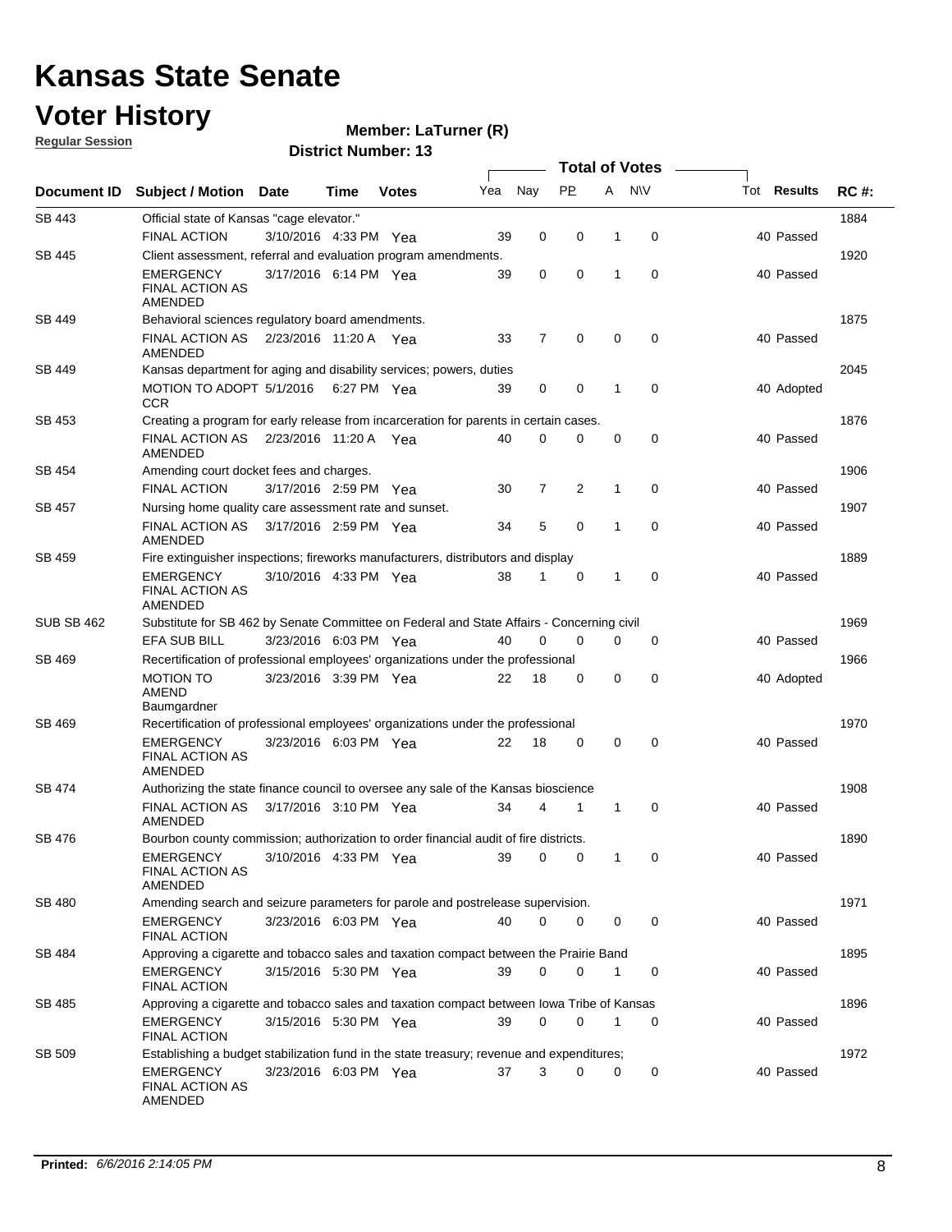### **Voter History**

**Member: LaTurner (R)** 

**Regular Session**

|                   |                                                                                           |                       |      |              |     |                |                |             | <b>Total of Votes</b> |                    |             |
|-------------------|-------------------------------------------------------------------------------------------|-----------------------|------|--------------|-----|----------------|----------------|-------------|-----------------------|--------------------|-------------|
| Document ID       | <b>Subject / Motion Date</b>                                                              |                       | Time | <b>Votes</b> | Yea | Nay            | <b>PP</b>      | A           | <b>NV</b>             | Tot <b>Results</b> | <b>RC#:</b> |
| SB 443            | Official state of Kansas "cage elevator."                                                 |                       |      |              |     |                |                |             |                       |                    | 1884        |
|                   | <b>FINAL ACTION</b>                                                                       | 3/10/2016 4:33 PM Yea |      |              | 39  | 0              | 0              | 1           | 0                     | 40 Passed          |             |
| SB 445            | Client assessment, referral and evaluation program amendments.                            |                       |      |              |     |                |                |             |                       |                    | 1920        |
|                   | <b>EMERGENCY</b><br><b>FINAL ACTION AS</b><br>AMENDED                                     | 3/17/2016 6:14 PM Yea |      |              | 39  | 0              | 0              | 1           | 0                     | 40 Passed          |             |
| SB 449            | Behavioral sciences regulatory board amendments.                                          |                       |      |              |     |                |                |             |                       |                    | 1875        |
|                   | FINAL ACTION AS<br>AMENDED                                                                | 2/23/2016 11:20 A Yea |      |              | 33  | 7              | 0              | $\mathbf 0$ | 0                     | 40 Passed          |             |
| SB 449            | Kansas department for aging and disability services; powers, duties                       |                       |      |              |     |                |                |             |                       |                    | 2045        |
|                   | MOTION TO ADOPT 5/1/2016 6:27 PM Yea<br><b>CCR</b>                                        |                       |      |              | 39  | $\mathbf 0$    | 0              | 1           | $\mathbf 0$           | 40 Adopted         |             |
| SB 453            | Creating a program for early release from incarceration for parents in certain cases.     |                       |      |              |     |                |                |             |                       |                    | 1876        |
|                   | FINAL ACTION AS<br>AMENDED                                                                | 2/23/2016 11:20 A Yea |      |              | 40  | 0              | 0              | $\mathbf 0$ | 0                     | 40 Passed          |             |
| SB 454            | Amending court docket fees and charges.                                                   |                       |      |              |     |                |                |             |                       |                    | 1906        |
|                   | <b>FINAL ACTION</b>                                                                       | 3/17/2016 2:59 PM Yea |      |              | 30  | $\overline{7}$ | 2              | 1           | 0                     | 40 Passed          |             |
| SB 457            | Nursing home quality care assessment rate and sunset.                                     |                       |      |              |     |                |                |             |                       |                    | 1907        |
|                   | <b>FINAL ACTION AS</b><br>AMENDED                                                         | 3/17/2016 2:59 PM Yea |      |              | 34  | 5              | 0              | 1           | 0                     | 40 Passed          |             |
| SB 459            | Fire extinguisher inspections; fireworks manufacturers, distributors and display          |                       |      |              |     |                |                |             |                       |                    | 1889        |
|                   | <b>EMERGENCY</b><br><b>FINAL ACTION AS</b><br>AMENDED                                     | 3/10/2016 4:33 PM Yea |      |              | 38  | 1              | 0              | 1           | 0                     | 40 Passed          |             |
| <b>SUB SB 462</b> | Substitute for SB 462 by Senate Committee on Federal and State Affairs - Concerning civil |                       |      |              |     |                |                |             |                       |                    | 1969        |
|                   | EFA SUB BILL                                                                              | 3/23/2016 6:03 PM Yea |      |              | 40  | 0              | 0              | 0           | 0                     | 40 Passed          |             |
| SB 469            | Recertification of professional employees' organizations under the professional           |                       |      |              |     |                |                |             |                       |                    | 1966        |
|                   | MOTION TO<br>AMEND<br>Baumgardner                                                         | 3/23/2016 3:39 PM Yea |      |              | 22  | 18             | 0              | 0           | 0                     | 40 Adopted         |             |
| SB 469            | Recertification of professional employees' organizations under the professional           |                       |      |              |     |                |                |             |                       |                    | 1970        |
|                   | <b>EMERGENCY</b><br><b>FINAL ACTION AS</b><br>AMENDED                                     | 3/23/2016 6:03 PM Yea |      |              | 22  | 18             | 0              | $\mathbf 0$ | 0                     | 40 Passed          |             |
| SB 474            | Authorizing the state finance council to oversee any sale of the Kansas bioscience        |                       |      |              |     |                |                |             |                       |                    | 1908        |
|                   | <b>FINAL ACTION AS</b><br>AMENDED                                                         | 3/17/2016 3:10 PM Yea |      |              | 34  | 4              | 1              | 1           | 0                     | 40 Passed          |             |
| SB 476            | Bourbon county commission; authorization to order financial audit of fire districts.      |                       |      |              |     |                |                |             |                       |                    | 1890        |
|                   | <b>EMERGENCY</b><br><b>FINAL ACTION AS</b><br>AMENDED                                     | 3/10/2016 4:33 PM Yea |      |              | 39  | 0              | $\overline{0}$ |             |                       | 40 Passed          |             |
| SB 480            | Amending search and seizure parameters for parole and postrelease supervision.            |                       |      |              |     |                |                |             |                       |                    | 1971        |
|                   | EMERGENCY<br><b>FINAL ACTION</b>                                                          | 3/23/2016 6:03 PM Yea |      |              | 40  | 0              | 0              | 0           | 0                     | 40 Passed          |             |
| SB 484            | Approving a cigarette and tobacco sales and taxation compact between the Prairie Band     |                       |      |              |     |                |                |             |                       |                    | 1895        |
|                   | EMERGENCY<br><b>FINAL ACTION</b>                                                          | 3/15/2016 5:30 PM Yea |      |              | 39  | 0              | 0              | 1           | 0                     | 40 Passed          |             |
| SB 485            | Approving a cigarette and tobacco sales and taxation compact between lowa Tribe of Kansas |                       |      |              |     |                |                |             |                       |                    | 1896        |
|                   | EMERGENCY<br><b>FINAL ACTION</b>                                                          | 3/15/2016 5:30 PM Yea |      |              | 39  | 0              | 0              | 1           | 0                     | 40 Passed          |             |
| SB 509            | Establishing a budget stabilization fund in the state treasury; revenue and expenditures; |                       |      |              |     |                |                |             |                       |                    | 1972        |
|                   | <b>EMERGENCY</b><br><b>FINAL ACTION AS</b><br>AMENDED                                     | 3/23/2016 6:03 PM Yea |      |              | 37  | 3              | 0              | 0           | 0                     | 40 Passed          |             |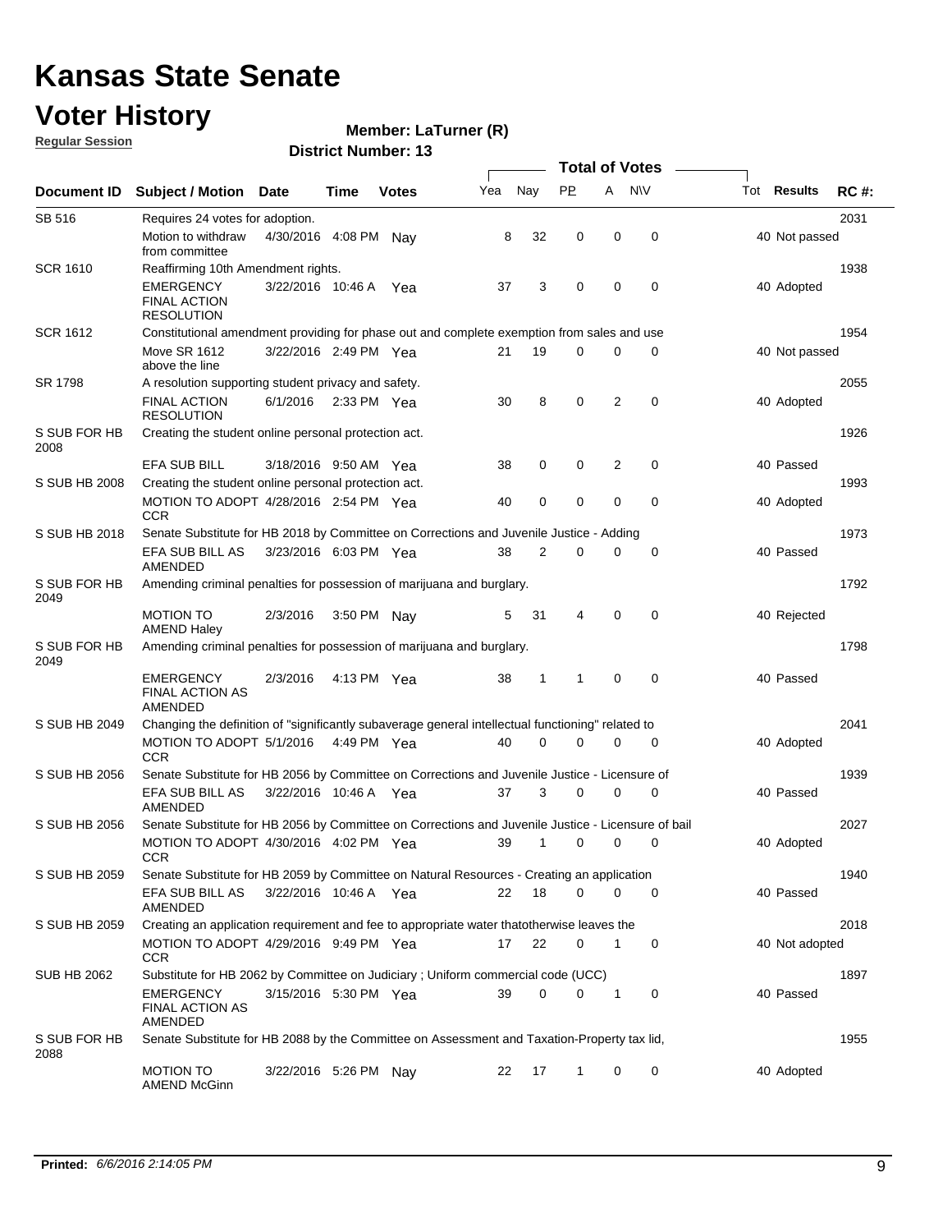### **Voter History**

**Regular Session**

#### **Member: LaTurner (R)**

|                      |                                                                                                             |                       |             |              |     |             |              | <b>Total of Votes</b> |             |                    |             |
|----------------------|-------------------------------------------------------------------------------------------------------------|-----------------------|-------------|--------------|-----|-------------|--------------|-----------------------|-------------|--------------------|-------------|
| Document ID          | <b>Subject / Motion</b>                                                                                     | Date                  | Time        | <b>Votes</b> | Yea | Nay         | <b>PP</b>    | A                     | <b>NV</b>   | Tot <b>Results</b> | <b>RC#:</b> |
| SB 516               | Requires 24 votes for adoption.                                                                             |                       |             |              |     |             |              |                       |             |                    | 2031        |
|                      | Motion to withdraw<br>from committee                                                                        | 4/30/2016 4:08 PM     |             | Nav          | 8   | 32          | 0            | 0                     | $\mathbf 0$ | 40 Not passed      |             |
| <b>SCR 1610</b>      | Reaffirming 10th Amendment rights.                                                                          |                       |             |              |     |             |              |                       |             |                    | 1938        |
|                      | <b>EMERGENCY</b><br><b>FINAL ACTION</b><br><b>RESOLUTION</b>                                                | 3/22/2016 10:46 A Yea |             |              | 37  | 3           | 0            | 0                     | 0           | 40 Adopted         |             |
| <b>SCR 1612</b>      | Constitutional amendment providing for phase out and complete exemption from sales and use                  |                       |             |              |     |             |              |                       |             |                    | 1954        |
|                      | <b>Move SR 1612</b><br>above the line                                                                       | 3/22/2016 2:49 PM Yea |             |              | 21  | 19          | 0            | 0                     | 0           | 40 Not passed      |             |
| SR 1798              | A resolution supporting student privacy and safety.                                                         |                       |             |              |     |             |              |                       |             |                    | 2055        |
|                      | <b>FINAL ACTION</b><br><b>RESOLUTION</b>                                                                    | 6/1/2016              | 2:33 PM Yea |              | 30  | 8           | 0            | 2                     | 0           | 40 Adopted         |             |
| S SUB FOR HB<br>2008 | Creating the student online personal protection act.                                                        |                       |             |              |     |             |              |                       |             |                    | 1926        |
|                      | <b>EFA SUB BILL</b>                                                                                         | 3/18/2016 9:50 AM Yea |             |              | 38  | 0           | 0            | 2                     | 0           | 40 Passed          |             |
| S SUB HB 2008        | Creating the student online personal protection act.<br>MOTION TO ADOPT 4/28/2016 2:54 PM Yea<br><b>CCR</b> |                       |             |              | 40  | $\mathbf 0$ | 0            | 0                     | 0           | 40 Adopted         | 1993        |
| S SUB HB 2018        | Senate Substitute for HB 2018 by Committee on Corrections and Juvenile Justice - Adding                     |                       |             |              |     |             |              |                       |             |                    | 1973        |
|                      | EFA SUB BILL AS<br><b>AMENDED</b>                                                                           | 3/23/2016 6:03 PM Yea |             |              | 38  | 2           | 0            | 0                     | 0           | 40 Passed          |             |
| S SUB FOR HB<br>2049 | Amending criminal penalties for possession of marijuana and burglary.                                       |                       |             |              |     |             |              |                       |             |                    | 1792        |
|                      | <b>MOTION TO</b><br><b>AMEND Haley</b>                                                                      | 2/3/2016              | 3:50 PM Nay |              | 5   | 31          | 4            | $\mathbf 0$           | 0           | 40 Rejected        |             |
| S SUB FOR HB<br>2049 | Amending criminal penalties for possession of marijuana and burglary.                                       |                       |             |              |     |             |              |                       |             |                    | 1798        |
|                      | <b>EMERGENCY</b><br><b>FINAL ACTION AS</b><br>AMENDED                                                       | 2/3/2016              | 4:13 PM Yea |              | 38  | 1           | 1            | 0                     | $\mathbf 0$ | 40 Passed          |             |
| S SUB HB 2049        | Changing the definition of "significantly subaverage general intellectual functioning" related to           |                       |             |              |     |             |              |                       |             |                    | 2041        |
|                      | MOTION TO ADOPT 5/1/2016<br><b>CCR</b>                                                                      |                       | 4:49 PM Yea |              | 40  | $\mathbf 0$ | 0            | 0                     | 0           | 40 Adopted         |             |
| S SUB HB 2056        | Senate Substitute for HB 2056 by Committee on Corrections and Juvenile Justice - Licensure of               |                       |             |              |     |             |              |                       |             |                    | 1939        |
|                      | EFA SUB BILL AS<br>AMENDED                                                                                  | 3/22/2016 10:46 A Yea |             |              | 37  | 3           | 0            | 0                     | 0           | 40 Passed          |             |
| S SUB HB 2056        | Senate Substitute for HB 2056 by Committee on Corrections and Juvenile Justice - Licensure of bail          |                       |             |              |     |             |              |                       |             |                    | 2027        |
|                      | MOTION TO ADOPT 4/30/2016 4:02 PM Yea<br><b>CCR</b>                                                         |                       |             |              | 39  | 1           | 0            | 0                     | 0           | 40 Adopted         |             |
| S SUB HB 2059        | Senate Substitute for HB 2059 by Committee on Natural Resources - Creating an application                   |                       |             |              |     |             |              |                       |             |                    | 1940        |
|                      | EFA SUB BILL AS<br>AMENDED                                                                                  | 3/22/2016 10:46 A Yea |             |              | 22  | 18          | 0            | 0                     | 0           | 40 Passed          |             |
| S SUB HB 2059        | Creating an application requirement and fee to appropriate water thatotherwise leaves the                   |                       |             |              |     |             |              |                       |             |                    | 2018        |
|                      | MOTION TO ADOPT 4/29/2016 9:49 PM Yea<br><b>CCR</b>                                                         |                       |             |              | 17  | 22          | 0            | 1                     | 0           | 40 Not adopted     |             |
| SUB HB 2062          | Substitute for HB 2062 by Committee on Judiciary; Uniform commercial code (UCC)                             |                       |             |              |     |             |              |                       |             |                    | 1897        |
|                      | <b>EMERGENCY</b><br><b>FINAL ACTION AS</b><br>AMENDED                                                       | 3/15/2016 5:30 PM Yea |             |              | 39  | 0           | 0            | 1                     | 0           | 40 Passed          |             |
| S SUB FOR HB<br>2088 | Senate Substitute for HB 2088 by the Committee on Assessment and Taxation-Property tax lid,                 |                       |             |              |     |             |              |                       |             |                    | 1955        |
|                      | <b>MOTION TO</b><br><b>AMEND McGinn</b>                                                                     | 3/22/2016 5:26 PM Nay |             |              | 22  | 17          | $\mathbf{1}$ | 0                     | 0           | 40 Adopted         |             |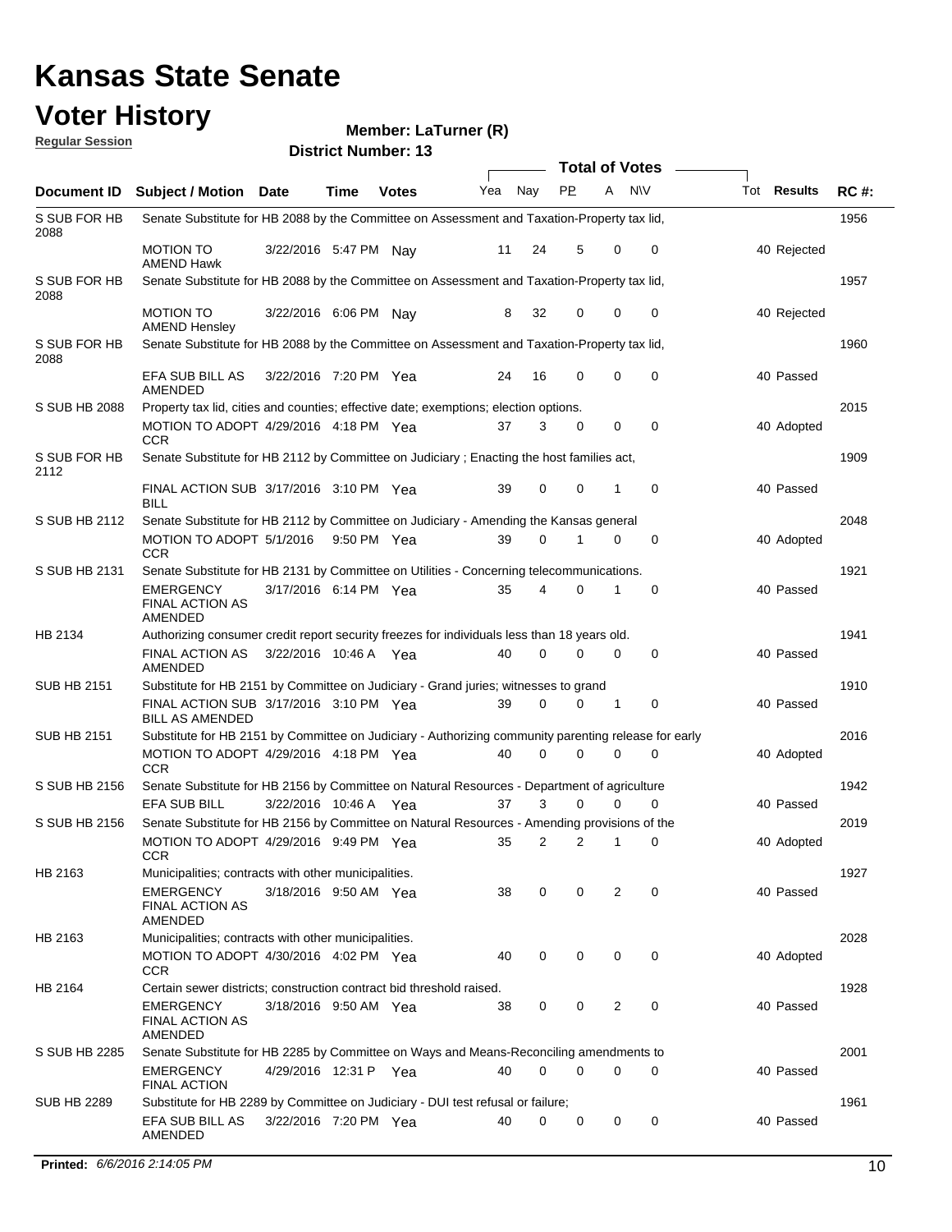#### **Voter History**

#### **Member: LaTurner (R)**

| <b>Regular Session</b> |                                                                                                      |                       |      | <b>District Number: 13</b> |     |                         |                         |              |             |                    |             |
|------------------------|------------------------------------------------------------------------------------------------------|-----------------------|------|----------------------------|-----|-------------------------|-------------------------|--------------|-------------|--------------------|-------------|
|                        |                                                                                                      |                       |      |                            |     |                         | <b>Total of Votes</b>   |              |             |                    |             |
| Document ID            | <b>Subject / Motion Date</b>                                                                         |                       | Time | <b>Votes</b>               | Yea | Nay                     | <b>PP</b>               | A            | <b>NV</b>   | Tot <b>Results</b> | <b>RC#:</b> |
| S SUB FOR HB<br>2088   | Senate Substitute for HB 2088 by the Committee on Assessment and Taxation-Property tax lid,          |                       |      |                            |     |                         |                         |              |             |                    | 1956        |
|                        | <b>MOTION TO</b><br><b>AMEND Hawk</b>                                                                | 3/22/2016 5:47 PM Nay |      |                            | 11  | 24                      | 5                       | $\Omega$     | 0           | 40 Rejected        |             |
| S SUB FOR HB<br>2088   | Senate Substitute for HB 2088 by the Committee on Assessment and Taxation-Property tax lid,          |                       |      |                            |     |                         |                         |              |             |                    | 1957        |
|                        | <b>MOTION TO</b><br><b>AMEND Hensley</b>                                                             | 3/22/2016 6:06 PM Nay |      |                            | 8   | 32                      | 0                       | $\mathbf 0$  | 0           | 40 Rejected        |             |
| S SUB FOR HB<br>2088   | Senate Substitute for HB 2088 by the Committee on Assessment and Taxation-Property tax lid.          |                       |      |                            |     |                         |                         |              |             |                    | 1960        |
|                        | EFA SUB BILL AS<br>AMENDED                                                                           | 3/22/2016 7:20 PM Yea |      |                            | 24  | 16                      | 0                       | 0            | 0           | 40 Passed          |             |
| S SUB HB 2088          | Property tax lid, cities and counties; effective date; exemptions; election options.                 |                       |      |                            |     |                         |                         |              |             |                    | 2015        |
|                        | MOTION TO ADOPT 4/29/2016 4:18 PM Yea<br><b>CCR</b>                                                  |                       |      |                            | 37  | 3                       | 0                       | 0            | 0           | 40 Adopted         |             |
| S SUB FOR HB<br>2112   | Senate Substitute for HB 2112 by Committee on Judiciary; Enacting the host families act,             |                       |      |                            |     |                         |                         |              |             |                    | 1909        |
|                        | FINAL ACTION SUB 3/17/2016 3:10 PM Yea<br><b>BILL</b>                                                |                       |      |                            | 39  | $\mathbf 0$             | 0                       | 1            | 0           | 40 Passed          |             |
| S SUB HB 2112          | Senate Substitute for HB 2112 by Committee on Judiciary - Amending the Kansas general                |                       |      |                            |     |                         |                         |              |             |                    | 2048        |
|                        | MOTION TO ADOPT 5/1/2016 9:50 PM Yea<br><b>CCR</b>                                                   |                       |      |                            | 39  | $\Omega$                |                         | 0            | 0           | 40 Adopted         |             |
| S SUB HB 2131          | Senate Substitute for HB 2131 by Committee on Utilities - Concerning telecommunications.             |                       |      |                            |     |                         |                         |              |             |                    | 1921        |
|                        | <b>EMERGENCY</b><br><b>FINAL ACTION AS</b><br>AMENDED                                                | 3/17/2016 6:14 PM Yea |      |                            | 35  | 4                       | 0                       | 1            | 0           | 40 Passed          |             |
| HB 2134                | Authorizing consumer credit report security freezes for individuals less than 18 years old.          |                       |      |                            |     |                         |                         |              |             |                    | 1941        |
|                        | <b>FINAL ACTION AS</b><br>AMENDED                                                                    | 3/22/2016 10:46 A Yea |      |                            | 40  | $\mathbf 0$             | $\Omega$                | 0            | $\mathbf 0$ | 40 Passed          |             |
| <b>SUB HB 2151</b>     | Substitute for HB 2151 by Committee on Judiciary - Grand juries; witnesses to grand                  |                       |      |                            |     |                         |                         |              |             |                    | 1910        |
|                        | FINAL ACTION SUB 3/17/2016 3:10 PM Yea<br><b>BILL AS AMENDED</b>                                     |                       |      |                            | 39  | $\Omega$                | $\mathbf 0$             | 1            | 0           | 40 Passed          |             |
| <b>SUB HB 2151</b>     | Substitute for HB 2151 by Committee on Judiciary - Authorizing community parenting release for early |                       |      |                            |     |                         |                         |              |             |                    | 2016        |
|                        | MOTION TO ADOPT 4/29/2016 4:18 PM Yea<br><b>CCR</b>                                                  |                       |      |                            | 40  | $\Omega$                | $\mathbf 0$             | 0            | $\mathbf 0$ | 40 Adopted         |             |
| S SUB HB 2156          | Senate Substitute for HB 2156 by Committee on Natural Resources - Department of agriculture          |                       |      |                            |     |                         |                         |              |             |                    | 1942        |
|                        | <b>EFA SUB BILL</b>                                                                                  | 3/22/2016 10:46 A Yea |      |                            | 37  | 3                       | 0                       | 0            | 0           | 40 Passed          |             |
| S SUB HB 2156          | Senate Substitute for HB 2156 by Committee on Natural Resources - Amending provisions of the         |                       |      |                            |     |                         |                         |              |             |                    | 2019        |
|                        | MOTION TO ADOPT 4/29/2016 9:49 PM Yea<br><b>CCR</b>                                                  |                       |      |                            | 35  | $\overline{\mathbf{c}}$ | $\overline{\mathbf{c}}$ | $\mathbf{1}$ | 0           | 40 Adopted         |             |
| HB 2163                | Municipalities; contracts with other municipalities.                                                 |                       |      |                            |     |                         |                         |              |             |                    | 1927        |
|                        | <b>EMERGENCY</b><br>FINAL ACTION AS<br>AMENDED                                                       | 3/18/2016 9:50 AM Yea |      |                            | 38  | 0                       | 0                       | 2            | 0           | 40 Passed          |             |
| HB 2163                | Municipalities; contracts with other municipalities.                                                 |                       |      |                            |     |                         |                         |              |             |                    | 2028        |
|                        | MOTION TO ADOPT 4/30/2016 4:02 PM Yea<br><b>CCR</b>                                                  |                       |      |                            | 40  | 0                       | 0                       | 0            | 0           | 40 Adopted         |             |
| HB 2164                | Certain sewer districts; construction contract bid threshold raised.                                 |                       |      |                            |     |                         |                         |              |             |                    | 1928        |
|                        | <b>EMERGENCY</b><br><b>FINAL ACTION AS</b><br>AMENDED                                                | 3/18/2016 9:50 AM Yea |      |                            | 38  | 0                       | 0                       | 2            | 0           | 40 Passed          |             |
| S SUB HB 2285          | Senate Substitute for HB 2285 by Committee on Ways and Means-Reconciling amendments to               |                       |      |                            |     |                         |                         |              |             |                    | 2001        |
|                        | <b>EMERGENCY</b><br>FINAL ACTION                                                                     | 4/29/2016 12:31 P Yea |      |                            | 40  | $\Omega$                | 0                       | 0            | 0           | 40 Passed          |             |
| <b>SUB HB 2289</b>     | Substitute for HB 2289 by Committee on Judiciary - DUI test refusal or failure;                      |                       |      |                            |     |                         |                         |              |             |                    | 1961        |
|                        | EFA SUB BILL AS<br>AMENDED                                                                           | 3/22/2016 7:20 PM Yea |      |                            | 40  | 0                       | 0                       | 0            | 0           | 40 Passed          |             |

**Printed:**  $6/6/20162:14:05 PM$  10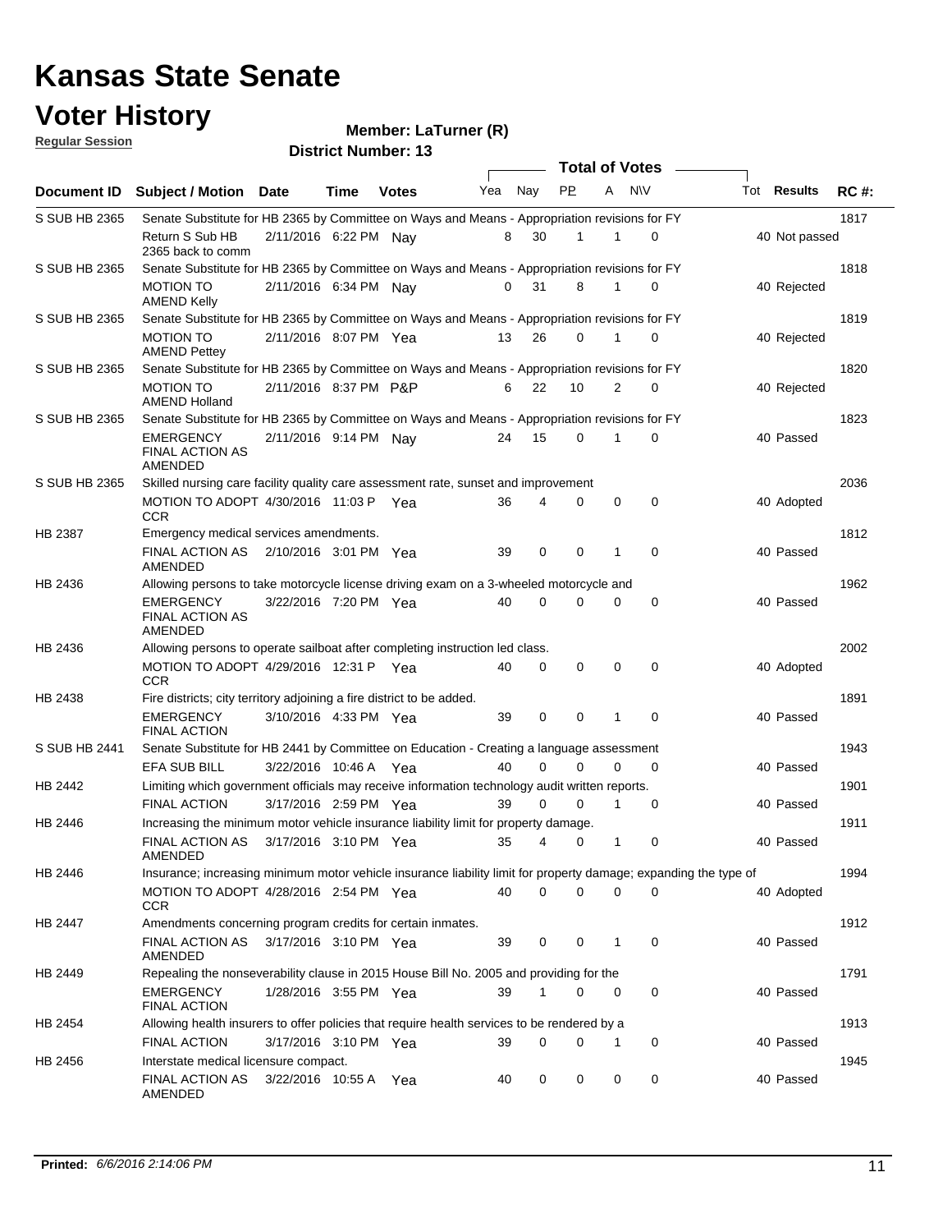#### **Voter History**

#### **Member: LaTurner (R)**

**Document ID** Subject / Motion Date Time Votes Yea Nay PP A NIV Tot Results RC #: **District Number: 13 Date Votes Total of Votes Time Votes** Mea Nay PP A N\V Tot Results **Regular Session** Nav 1817 Return S Sub HB 2/11/2016 6:22 PM Nay 8 30 1 0 40 Not passed S SUB HB 2365 2365 back to comm Senate Substitute for HB 2365 by Committee on Ways and Means - Appropriation revisions for FY 1818 MOTION TO 2/11/2016 6:34 PM Nay 0 31 8 1 0 40 Rejected S SUB HB 2365 AMEND Kelly Senate Substitute for HB 2365 by Committee on Ways and Means - Appropriation revisions for FY 1819 MOTION TO 2/11/2016 8:07 PM Yea 13 26 0 1 0 40 Rejected S SUB HB 2365 AMEND Pettey Senate Substitute for HB 2365 by Committee on Ways and Means - Appropriation revisions for FY 1820 2/11/2016 MOTION TO P&P 40 8:37 PM 6 22 0 10 2 Rejected S SUB HB 2365 AMEND Holland Senate Substitute for HB 2365 by Committee on Ways and Means - Appropriation revisions for FY 1823 2/11/2016 EMERGENCY Nay 40 9:14 PM 24 15 0 0 1 Passed S SUB HB 2365 FINAL ACTION AS AMENDED Senate Substitute for HB 2365 by Committee on Ways and Means - Appropriation revisions for FY 2036 MOTION TO ADOPT 4/30/2016 11:03 P Yea  $\,$  36  $\,$  4  $\,$  0  $\,$  0  $\,$  0  $\,$  40 Adopted S SUB HB 2365 **CCR** Skilled nursing care facility quality care assessment rate, sunset and improvement 1812 FINAL ACTION AS 2/10/2016 3:01 PM Yea 39 0 0 1 0 40 Passed HB 2387 AMENDED Emergency medical services amendments. 1962 3/22/2016 EMERGENCY Yea 40 7:20 PM 40 0 0 0 0 Passed HB 2436 FINAL ACTION AS AMENDED Allowing persons to take motorcycle license driving exam on a 3-wheeled motorcycle and 2002 MOTION TO ADOPT 4/29/2016 12:31 P Yea  $\hphantom{\big(}40 \quad 0 \quad 0 \quad 0 \quad 0 \quad 0 \quad 0 \quad 40$  Adopted HB 2436 **CCR** Allowing persons to operate sailboat after completing instruction led class. 1891 3/10/2016 EMERGENCY Yea 40 4:33 PM 39 0 0 0 1 Passed HB 2438 FINAL ACTION Fire districts; city territory adjoining a fire district to be added. 1943 3/22/2016 EFA SUB BILL Yea 40 10:46 A 40 0 0 0 0 Passed S SUB HB 2441 Senate Substitute for HB 2441 by Committee on Education - Creating a language assessment 1901 3/17/2016 FINAL ACTION Yea 40 2:59 PM 39 0 0 0 1 Passed HB 2442 Limiting which government officials may receive information technology audit written reports. 1911 3/17/2016 FINAL ACTION AS Yea 40 3:10 PM 35 4 0 0 1 Passed HB 2446 AMENDED Increasing the minimum motor vehicle insurance liability limit for property damage. 1994 4/28/2016 MOTION TO ADOPT Yea 40 2:54 PM 40 0 0 0 0 Adopted HB 2446 **CCR** Insurance; increasing minimum motor vehicle insurance liability limit for property damage; expanding the type of 1912 FINAL ACTION AS 3/17/2016 3:10 PM Yea 39 0 0 1 0 40 Passed HB 2447 AMENDED Amendments concerning program credits for certain inmates. 1791 EMERGENCY 1/28/2016 3:55 PM Yea 39 1 0 0 40 Passed HB 2449 FINAL ACTION Repealing the nonseverability clause in 2015 House Bill No. 2005 and providing for the 1913 3/17/2016 FINAL ACTION Yea 40 3:10 PM 39 0 0 0 1 Passed HB 2454 Allowing health insurers to offer policies that require health services to be rendered by a 1945 FINAL ACTION AS 3/22/2016 10:55 A Yea  $\,$  40  $\,$  0  $\,$  0  $\,$  0  $\,$  0  $\,$  0  $\,$  40 Passed HB 2456 AMENDED Interstate medical licensure compact.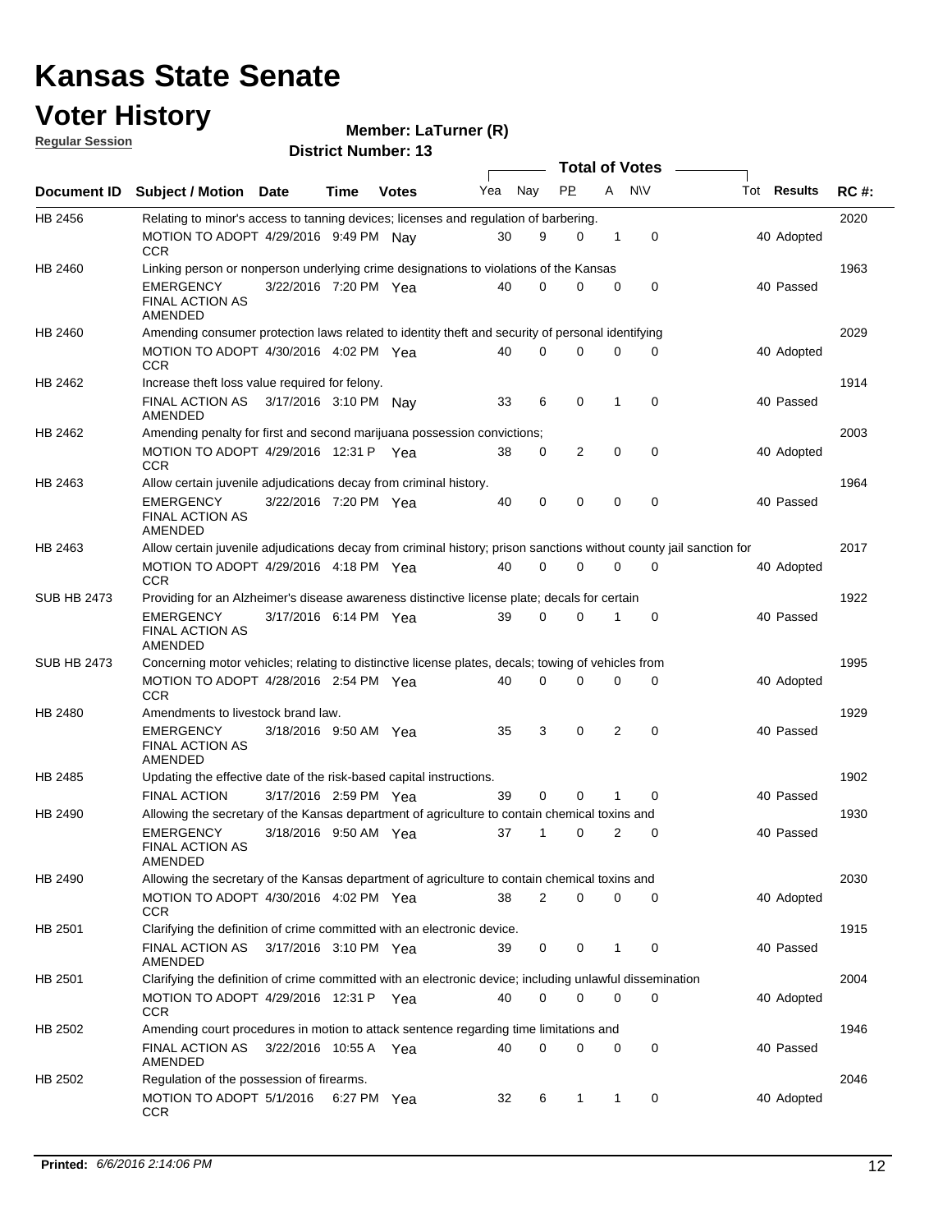#### **Voter History Regular Session**

|                    |                                                                                                                     |                       |      |              |     |             |              |                | <b>Total of Votes</b> |                    |             |
|--------------------|---------------------------------------------------------------------------------------------------------------------|-----------------------|------|--------------|-----|-------------|--------------|----------------|-----------------------|--------------------|-------------|
| Document ID        | <b>Subject / Motion</b>                                                                                             | Date                  | Time | <b>Votes</b> | Yea | Nay         | <b>PP</b>    | A              | <b>NV</b>             | Tot <b>Results</b> | <b>RC#:</b> |
| HB 2456            | Relating to minor's access to tanning devices; licenses and regulation of barbering.                                |                       |      |              |     |             |              |                |                       |                    | 2020        |
|                    | MOTION TO ADOPT 4/29/2016 9:49 PM Nav<br>CCR                                                                        |                       |      |              | 30  | 9           | $\Omega$     | 1              | 0                     | 40 Adopted         |             |
| HB 2460            | Linking person or nonperson underlying crime designations to violations of the Kansas                               |                       |      |              |     |             |              |                |                       |                    | 1963        |
|                    | <b>EMERGENCY</b><br><b>FINAL ACTION AS</b><br>AMENDED                                                               | 3/22/2016 7:20 PM Yea |      |              | 40  | 0           | 0            | 0              | 0                     | 40 Passed          |             |
| HB 2460            | Amending consumer protection laws related to identity theft and security of personal identifying                    |                       |      |              |     |             |              |                |                       |                    | 2029        |
|                    | MOTION TO ADOPT 4/30/2016 4:02 PM Yea<br>CCR                                                                        |                       |      |              | 40  | 0           | 0            | 0              | 0                     | 40 Adopted         |             |
| HB 2462            | Increase theft loss value required for felony.                                                                      |                       |      |              |     |             |              |                |                       |                    | 1914        |
|                    | FINAL ACTION AS<br>AMENDED                                                                                          | 3/17/2016 3:10 PM Nay |      |              | 33  | 6           | 0            | 1              | 0                     | 40 Passed          |             |
| HB 2462            | Amending penalty for first and second marijuana possession convictions;                                             |                       |      |              |     |             |              |                |                       |                    | 2003        |
|                    | MOTION TO ADOPT 4/29/2016 12:31 P Yea<br><b>CCR</b>                                                                 |                       |      |              | 38  | 0           | 2            | $\mathbf 0$    | $\mathbf 0$           | 40 Adopted         |             |
| HB 2463            | Allow certain juvenile adjudications decay from criminal history.                                                   |                       |      |              |     |             |              |                |                       |                    | 1964        |
|                    | EMERGENCY<br><b>FINAL ACTION AS</b><br>AMENDED                                                                      | 3/22/2016 7:20 PM Yea |      |              | 40  | 0           | 0            | $\mathbf 0$    | $\mathbf 0$           | 40 Passed          |             |
| HB 2463            | Allow certain juvenile adjudications decay from criminal history; prison sanctions without county jail sanction for |                       |      |              |     |             |              |                |                       |                    | 2017        |
|                    | MOTION TO ADOPT 4/29/2016 4:18 PM Yea<br>CCR                                                                        |                       |      |              | 40  | 0           | 0            | 0              | 0                     | 40 Adopted         |             |
| <b>SUB HB 2473</b> | Providing for an Alzheimer's disease awareness distinctive license plate; decals for certain                        |                       |      |              |     |             |              |                |                       |                    | 1922        |
|                    | <b>EMERGENCY</b><br><b>FINAL ACTION AS</b><br>AMENDED                                                               | 3/17/2016 6:14 PM Yea |      |              | 39  | $\mathbf 0$ | $\mathbf 0$  | 1              | 0                     | 40 Passed          |             |
| <b>SUB HB 2473</b> | Concerning motor vehicles; relating to distinctive license plates, decals; towing of vehicles from                  |                       |      |              |     |             |              |                |                       |                    | 1995        |
|                    | MOTION TO ADOPT 4/28/2016 2:54 PM Yea<br>CCR                                                                        |                       |      |              | 40  | 0           | 0            | 0              | 0                     | 40 Adopted         |             |
| HB 2480            | Amendments to livestock brand law.                                                                                  |                       |      |              |     |             |              |                |                       |                    | 1929        |
|                    | <b>EMERGENCY</b><br><b>FINAL ACTION AS</b><br><b>AMENDED</b>                                                        | 3/18/2016 9:50 AM Yea |      |              | 35  | 3           | 0            | $\overline{2}$ | $\mathbf 0$           | 40 Passed          |             |
| HB 2485            | Updating the effective date of the risk-based capital instructions.                                                 |                       |      |              |     |             |              |                |                       |                    | 1902        |
|                    | <b>FINAL ACTION</b>                                                                                                 | 3/17/2016 2:59 PM Yea |      |              | 39  | $\mathbf 0$ | $\Omega$     | 1              | $\mathbf 0$           | 40 Passed          |             |
| HB 2490            | Allowing the secretary of the Kansas department of agriculture to contain chemical toxins and                       |                       |      |              |     |             |              |                |                       |                    | 1930        |
|                    | <b>EMERGENCY</b><br><b>FINAL ACTION AS</b><br>AMENDED                                                               | 3/18/2016 9:50 AM Yea |      |              | 37  | 1           | 0            | 2              | 0                     | 40 Passed          |             |
| HB 2490            | Allowing the secretary of the Kansas department of agriculture to contain chemical toxins and                       |                       |      |              |     |             |              |                |                       |                    | 2030        |
|                    | MOTION TO ADOPT 4/30/2016 4:02 PM Yea<br>CCR                                                                        |                       |      |              | 38  | 2           | 0            | 0              | 0                     | 40 Adopted         |             |
| HB 2501            | Clarifying the definition of crime committed with an electronic device.                                             |                       |      |              |     |             |              |                |                       |                    | 1915        |
|                    | FINAL ACTION AS 3/17/2016 3:10 PM Yea<br>AMENDED                                                                    |                       |      |              | 39  | 0           | 0            | 1              | $\mathbf 0$           | 40 Passed          |             |
| HB 2501            | Clarifying the definition of crime committed with an electronic device; including unlawful dissemination            |                       |      |              |     |             |              |                |                       |                    | 2004        |
|                    | MOTION TO ADOPT 4/29/2016 12:31 P Yea<br>CCR                                                                        |                       |      |              | 40  | 0           | 0            | 0              | 0                     | 40 Adopted         |             |
| HB 2502            | Amending court procedures in motion to attack sentence regarding time limitations and                               |                       |      |              |     |             |              |                |                       |                    | 1946        |
|                    | FINAL ACTION AS<br>AMENDED                                                                                          | 3/22/2016 10:55 A Yea |      |              | 40  | 0           | 0            | 0              | 0                     | 40 Passed          |             |
| HB 2502            | Regulation of the possession of firearms.                                                                           |                       |      |              |     |             |              |                |                       |                    | 2046        |
|                    | MOTION TO ADOPT 5/1/2016<br>CCR                                                                                     |                       |      | 6:27 PM Yea  | 32  | 6           | $\mathbf{1}$ | $\mathbf{1}$   | 0                     | 40 Adopted         |             |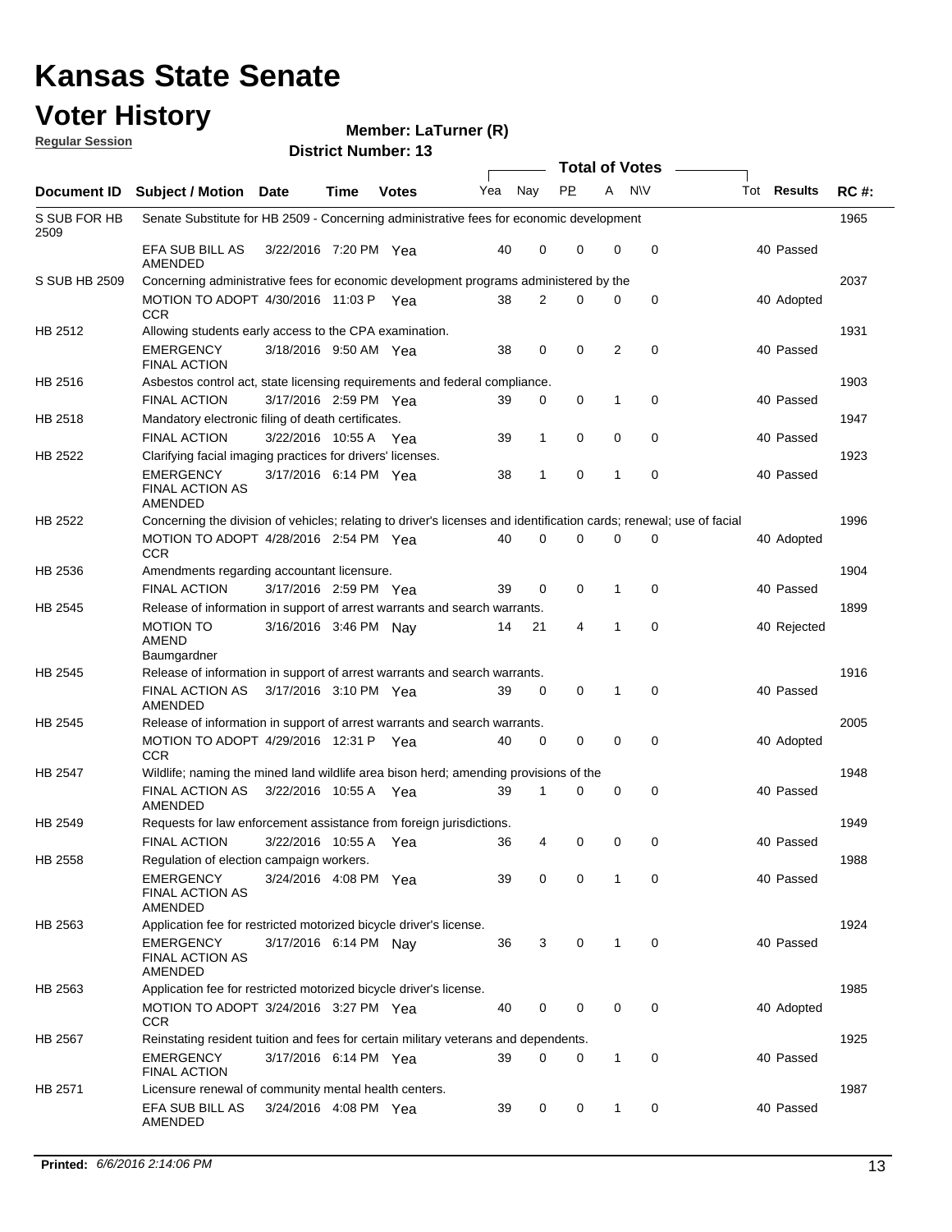#### **Voter History**

#### **Member: LaTurner (R)**

**Document ID** Subject / Motion Date Time Votes Yea Nay PP A NIV Tot Results RC #: **District Number: 13 Date Votes Total of Votes Tot Results Regular Session** Nav 1965 EFA SUB BILL AS 3/22/2016 7:20 PM Yea 40 0 0 0 40 Passed S SUB FOR HB 2509 AMENDED Senate Substitute for HB 2509 - Concerning administrative fees for economic development 2037 MOTION TO ADOPT 4/30/2016 11:03 P Yea  $\begin{array}{cccccc} 38 & 2 & 0 & 0 & 0 \end{array}$ S SUB HB 2509 **CCR** Concerning administrative fees for economic development programs administered by the Yea 38 2 0 0 0 38 40 Adopted 1931 3/18/2016 EMERGENCY Yea 40 9:50 AM 38 0 0 0 2 Passed HB 2512 FINAL ACTION Allowing students early access to the CPA examination. 1903 3/17/2016 FINAL ACTION Yea 40 2:59 PM 39 0 0 0 1 Passed HB 2516 Asbestos control act, state licensing requirements and federal compliance. 1947 3/22/2016 FINAL ACTION Yea 40 10:55 A 39 1 0 0 0 Passed HB 2518 Mandatory electronic filing of death certificates. 1923 3/17/2016 EMERGENCY Yea 40 6:14 PM 38 1 0 0 1 Passed HB 2522 FINAL ACTION AS AMENDED Clarifying facial imaging practices for drivers' licenses. 1996 4/28/2016 MOTION TO ADOPT Yea 40 2:54 PM 40 0 0 0 0 Adopted HB 2522 **CCR** Concerning the division of vehicles; relating to driver's licenses and identification cards; renewal; use of facial 1904 3/17/2016 FINAL ACTION Yea 40 2:59 PM 39 0 0 0 1 Passed HB 2536 Amendments regarding accountant licensure. 1899 MOTION TO 3/16/2016 3:46 PM Nay 14 21 4 1 0 40 Rejected HB 2545 AMEND **Baumgardner** Release of information in support of arrest warrants and search warrants. 1916 FINAL ACTION AS 3/17/2016 3:10 PM Yea 39 0 0 1 0 40 Passed HB 2545 AMENDED Release of information in support of arrest warrants and search warrants. 2005 MOTION TO ADOPT 4/29/2016 12:31 PYea  $40\quad 0\quad 0\quad 0\quad 0$  0 0 0 40 Adopted HB 2545 **CCR** Release of information in support of arrest warrants and search warrants. 1948 3/22/2016 FINAL ACTION AS Yea 40 HB 2547 AMENDED Wildlife; naming the mined land wildlife area bison herd; amending provisions of the 10 0 0 0 0 10 Passed 1949 3/22/2016 FINAL ACTION Yea 40 HB 2549 Requests for law enforcement assistance from foreign jurisdictions. Yea 36 4 0 0 0 40 Passed 1988 3/24/2016 EMERGENCY Yea 40 4:08 PM 39 0 0 0 1 Passed HB 2558 FINAL ACTION AS AMENDED Regulation of election campaign workers. 1924 EMERGENCY 3/17/2016 6:14 PM Nay 36 3 0 1 0 40 Passed HB 2563 FINAL ACTION AS AMENDED Application fee for restricted motorized bicycle driver's license. 1985 MOTION TO ADOPT 3/24/2016 3:27 PM Yea  $\,$  40  $\,$  0  $\,$  0  $\,$  0  $\,$  0  $\,$  0  $\,$  40 Adopted HB 2563 **CCR** Application fee for restricted motorized bicycle driver's license. 1925 3/17/2016 EMERGENCY Yea 40 6:14 PM 39 0 0 0 1 Passed HB 2567 FINAL ACTION Reinstating resident tuition and fees for certain military veterans and dependents. 1987 EFA SUB BILL AS 3/24/2016 4:08 PM Yea 39 0 0 1 0 40 Passed HB 2571 Licensure renewal of community mental health centers.

AMENDED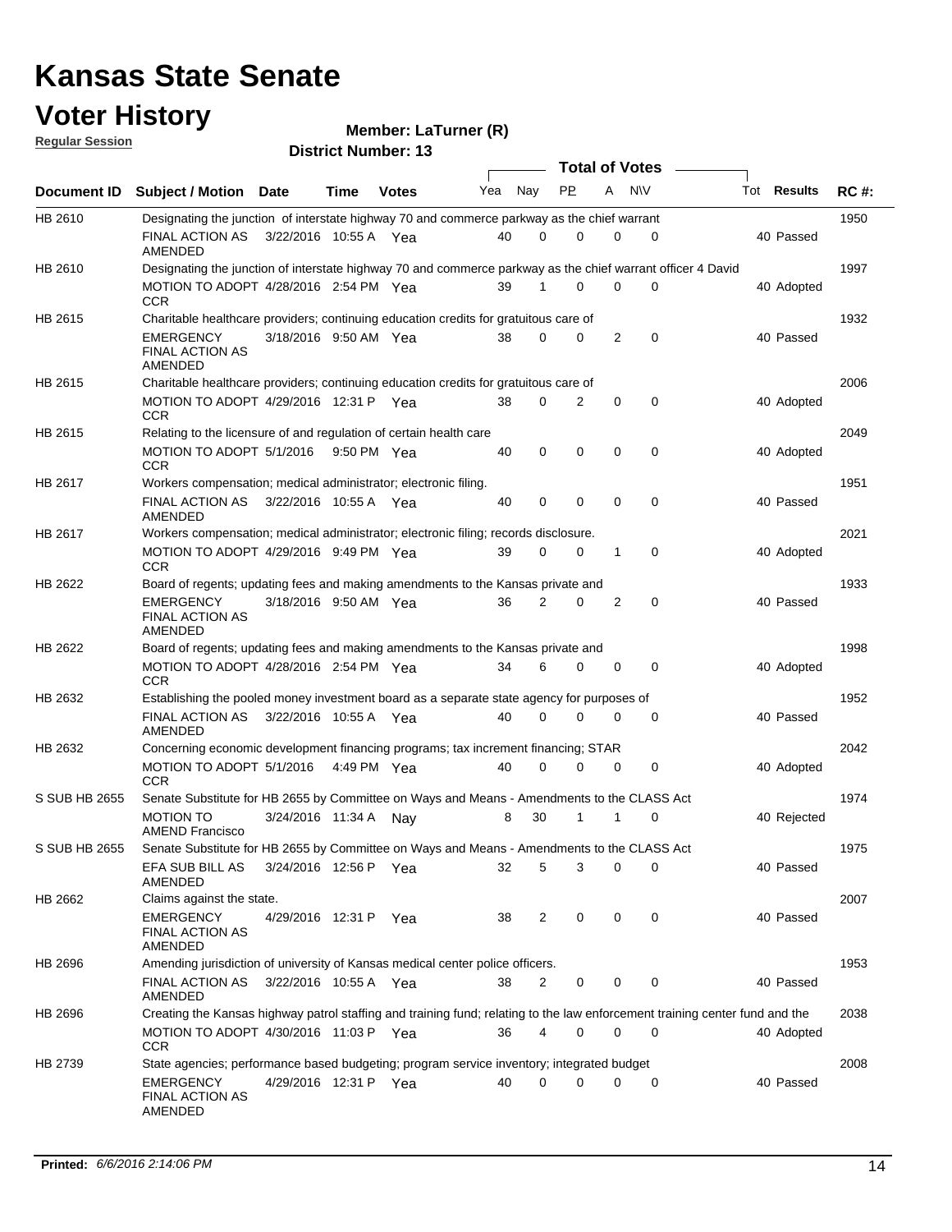#### **Voter History Regular Session**

**LaTurner (R)**

| <u>noquial oceanull</u> |                                                                                                                             |                       |      | <b>District Number: 13</b> |     |                |             |                |                       |                    |             |
|-------------------------|-----------------------------------------------------------------------------------------------------------------------------|-----------------------|------|----------------------------|-----|----------------|-------------|----------------|-----------------------|--------------------|-------------|
|                         |                                                                                                                             |                       |      |                            |     |                |             |                | <b>Total of Votes</b> |                    |             |
| <b>Document ID</b>      | <b>Subject / Motion Date</b>                                                                                                |                       | Time | <b>Votes</b>               | Yea | Nay            | <b>PP</b>   | A              | N\V                   | Tot <b>Results</b> | <b>RC#:</b> |
| HB 2610                 | Designating the junction of interstate highway 70 and commerce parkway as the chief warrant                                 |                       |      |                            |     |                |             |                |                       |                    | 1950        |
|                         | FINAL ACTION AS<br>AMENDED                                                                                                  | 3/22/2016 10:55 A Yea |      |                            | 40  | 0              | $\Omega$    | 0              | 0                     | 40 Passed          |             |
| HB 2610                 | Designating the junction of interstate highway 70 and commerce parkway as the chief warrant officer 4 David                 |                       |      |                            |     |                |             |                |                       |                    | 1997        |
|                         | MOTION TO ADOPT 4/28/2016 2:54 PM Yea<br><b>CCR</b>                                                                         |                       |      |                            | 39  |                | 0           | 0              | $\Omega$              | 40 Adopted         |             |
| HB 2615                 | Charitable healthcare providers; continuing education credits for gratuitous care of                                        |                       |      |                            |     |                |             |                |                       |                    | 1932        |
|                         | EMERGENCY<br><b>FINAL ACTION AS</b><br><b>AMENDED</b>                                                                       | 3/18/2016 9:50 AM Yea |      |                            | 38  | 0              | 0           | $\overline{2}$ | $\mathbf 0$           | 40 Passed          |             |
| HB 2615                 | Charitable healthcare providers; continuing education credits for gratuitous care of                                        |                       |      |                            |     |                |             |                |                       |                    | 2006        |
|                         | MOTION TO ADOPT 4/29/2016 12:31 P Yea<br><b>CCR</b>                                                                         |                       |      |                            | 38  | 0              | 2           | 0              | 0                     | 40 Adopted         |             |
| HB 2615                 | Relating to the licensure of and regulation of certain health care                                                          |                       |      |                            |     |                |             |                |                       |                    | 2049        |
|                         | MOTION TO ADOPT 5/1/2016 9:50 PM Yea<br><b>CCR</b>                                                                          |                       |      |                            | 40  | 0              | $\mathbf 0$ | $\mathbf 0$    | $\mathbf 0$           | 40 Adopted         |             |
| HB 2617                 | Workers compensation; medical administrator; electronic filing.                                                             |                       |      |                            |     |                |             |                |                       |                    | 1951        |
|                         | FINAL ACTION AS<br>AMENDED                                                                                                  | 3/22/2016 10:55 A Yea |      |                            | 40  | 0              | $\mathbf 0$ | 0              | 0                     | 40 Passed          |             |
| HB 2617                 | Workers compensation; medical administrator; electronic filing; records disclosure.                                         |                       |      |                            |     |                |             |                |                       |                    | 2021        |
|                         | MOTION TO ADOPT 4/29/2016 9:49 PM Yea<br><b>CCR</b>                                                                         |                       |      |                            | 39  | 0              | 0           | $\mathbf{1}$   | $\mathbf 0$           | 40 Adopted         |             |
| HB 2622                 | Board of regents; updating fees and making amendments to the Kansas private and                                             |                       |      |                            |     |                |             |                |                       |                    | 1933        |
|                         | <b>EMERGENCY</b><br><b>FINAL ACTION AS</b><br>AMENDED                                                                       | 3/18/2016 9:50 AM Yea |      |                            | 36  | 2              | 0           | 2              | 0                     | 40 Passed          |             |
| HB 2622                 | Board of regents; updating fees and making amendments to the Kansas private and                                             |                       |      |                            |     |                |             |                |                       |                    | 1998        |
|                         | MOTION TO ADOPT 4/28/2016 2:54 PM Yea<br><b>CCR</b>                                                                         |                       |      |                            | 34  | 6              | 0           | 0              | 0                     | 40 Adopted         |             |
| HB 2632                 | Establishing the pooled money investment board as a separate state agency for purposes of                                   |                       |      |                            |     |                |             |                |                       |                    | 1952        |
|                         | FINAL ACTION AS<br>AMENDED                                                                                                  | 3/22/2016 10:55 A Yea |      |                            | 40  | 0              | 0           | 0              | 0                     | 40 Passed          |             |
| HB 2632                 | Concerning economic development financing programs; tax increment financing; STAR                                           |                       |      |                            |     |                |             |                |                       |                    | 2042        |
|                         | MOTION TO ADOPT 5/1/2016 4:49 PM Yea<br><b>CCR</b>                                                                          |                       |      |                            | 40  | $\Omega$       | 0           | 0              | $\mathbf 0$           | 40 Adopted         |             |
| S SUB HB 2655           | Senate Substitute for HB 2655 by Committee on Ways and Means - Amendments to the CLASS Act                                  |                       |      |                            |     |                |             |                |                       |                    | 1974        |
|                         | <b>MOTION TO</b><br><b>AMEND Francisco</b>                                                                                  | 3/24/2016 11:34 A     |      | Nav                        | 8   | 30             | 1           | 1              | 0                     | 40 Rejected        |             |
| S SUB HB 2655           | Senate Substitute for HB 2655 by Committee on Ways and Means - Amendments to the CLASS Act                                  |                       |      |                            |     |                |             |                |                       |                    | 1975        |
|                         | EFA SUB BILL AS<br>AMENDED                                                                                                  | 3/24/2016 12:56 P Yea |      |                            | 32  | 5              | 3           | 0              | 0                     | 40 Passed          |             |
| HB 2662                 | Claims against the state.                                                                                                   |                       |      |                            |     |                |             |                |                       |                    | 2007        |
|                         | EMERGENCY<br><b>FINAL ACTION AS</b><br>AMENDED                                                                              | 4/29/2016 12:31 P Yea |      |                            | 38  | $\overline{2}$ | 0           | 0              | 0                     | 40 Passed          |             |
| HB 2696                 | Amending jurisdiction of university of Kansas medical center police officers.                                               |                       |      |                            |     |                |             |                |                       |                    | 1953        |
|                         | FINAL ACTION AS<br>AMENDED                                                                                                  | 3/22/2016 10:55 A Yea |      |                            | 38  | 2              | 0           | 0              | 0                     | 40 Passed          |             |
| HB 2696                 | Creating the Kansas highway patrol staffing and training fund; relating to the law enforcement training center fund and the |                       |      |                            |     |                |             |                |                       |                    | 2038        |
|                         | MOTION TO ADOPT 4/30/2016 11:03 P Yea<br><b>CCR</b>                                                                         |                       |      |                            | 36  | 4              | 0           | 0              | 0                     | 40 Adopted         |             |
| HB 2739                 | State agencies; performance based budgeting; program service inventory; integrated budget                                   |                       |      |                            |     |                |             |                |                       |                    | 2008        |
|                         | EMERGENCY<br><b>FINAL ACTION AS</b><br>AMENDED                                                                              | 4/29/2016 12:31 P Yea |      |                            | 40  | 0              | 0           | 0              | 0                     | 40 Passed          |             |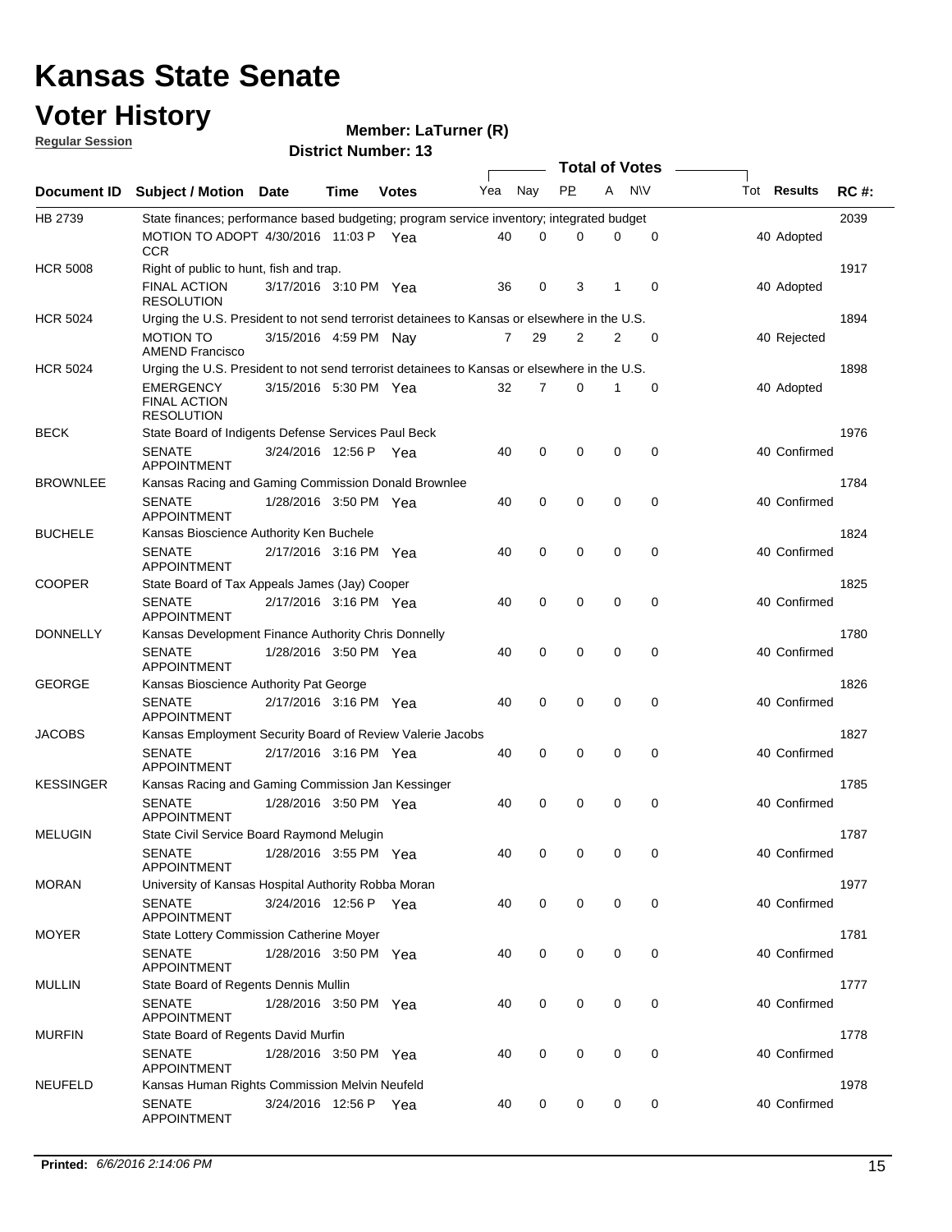# **Voter History**<br>**Regular Session**

**Member: LaTurner (R)** 

|  | <b>Regular Session</b> |  |
|--|------------------------|--|
|  |                        |  |

| Document ID      |                                                                                              |                       |      |              |     |                | <b>Total of Votes</b> |                |             |              |             |
|------------------|----------------------------------------------------------------------------------------------|-----------------------|------|--------------|-----|----------------|-----------------------|----------------|-------------|--------------|-------------|
|                  | <b>Subject / Motion Date</b>                                                                 |                       | Time | <b>Votes</b> | Yea | Nay            | <b>PP</b>             | A              | <b>NV</b>   | Tot Results  | <b>RC#:</b> |
| HB 2739          | State finances; performance based budgeting; program service inventory; integrated budget    |                       |      |              |     |                |                       |                |             |              | 2039        |
|                  | MOTION TO ADOPT 4/30/2016 11:03 P Yea<br><b>CCR</b>                                          |                       |      |              | 40  | 0              | 0                     | 0              | 0           | 40 Adopted   |             |
| <b>HCR 5008</b>  | Right of public to hunt, fish and trap.                                                      |                       |      |              |     |                |                       |                |             | 1917         |             |
|                  | <b>FINAL ACTION</b><br><b>RESOLUTION</b>                                                     | 3/17/2016 3:10 PM Yea |      |              | 36  | 0              | 3                     | 1              | $\mathbf 0$ | 40 Adopted   |             |
| <b>HCR 5024</b>  | Urging the U.S. President to not send terrorist detainees to Kansas or elsewhere in the U.S. |                       |      |              |     |                |                       |                |             |              | 1894        |
|                  | <b>MOTION TO</b><br><b>AMEND Francisco</b>                                                   | 3/15/2016 4:59 PM Nay |      |              | 7   | 29             | 2                     | $\overline{2}$ | $\mathbf 0$ | 40 Rejected  |             |
| <b>HCR 5024</b>  | Urging the U.S. President to not send terrorist detainees to Kansas or elsewhere in the U.S. |                       | 1898 |              |     |                |                       |                |             |              |             |
|                  | EMERGENCY<br><b>FINAL ACTION</b><br><b>RESOLUTION</b>                                        | 3/15/2016 5:30 PM Yea |      |              | 32  | $\overline{7}$ | 0                     |                | 0           | 40 Adopted   |             |
| <b>BECK</b>      | State Board of Indigents Defense Services Paul Beck                                          |                       |      |              |     |                |                       |                |             |              | 1976        |
|                  | <b>SENATE</b><br><b>APPOINTMENT</b>                                                          | 3/24/2016 12:56 P Yea |      |              | 40  | 0              | 0                     | 0              | 0           | 40 Confirmed |             |
| <b>BROWNLEE</b>  | Kansas Racing and Gaming Commission Donald Brownlee                                          |                       |      |              |     |                |                       |                |             |              | 1784        |
|                  | <b>SENATE</b><br><b>APPOINTMENT</b>                                                          | 1/28/2016 3:50 PM Yea |      |              | 40  | 0              | 0                     | 0              | 0           | 40 Confirmed |             |
| <b>BUCHELE</b>   | Kansas Bioscience Authority Ken Buchele                                                      |                       |      |              |     |                |                       |                |             |              | 1824        |
|                  | <b>SENATE</b><br><b>APPOINTMENT</b>                                                          | 2/17/2016 3:16 PM Yea |      |              | 40  | 0              | $\mathbf 0$           | $\mathbf 0$    | $\mathbf 0$ | 40 Confirmed |             |
| <b>COOPER</b>    | State Board of Tax Appeals James (Jay) Cooper                                                |                       |      |              |     |                |                       |                |             |              | 1825        |
|                  | <b>SENATE</b><br><b>APPOINTMENT</b>                                                          | 2/17/2016 3:16 PM Yea |      |              | 40  | 0              | 0                     | 0              | $\mathbf 0$ | 40 Confirmed |             |
| <b>DONNELLY</b>  | Kansas Development Finance Authority Chris Donnelly                                          |                       |      |              |     |                |                       |                |             |              | 1780        |
|                  | <b>SENATE</b><br><b>APPOINTMENT</b>                                                          | 1/28/2016 3:50 PM Yea |      |              | 40  | 0              | 0                     | $\mathbf 0$    | $\mathbf 0$ | 40 Confirmed |             |
| <b>GEORGE</b>    | Kansas Bioscience Authority Pat George                                                       |                       |      |              |     |                |                       |                |             |              | 1826        |
|                  | <b>SENATE</b><br><b>APPOINTMENT</b>                                                          | 2/17/2016 3:16 PM Yea |      |              | 40  | 0              | 0                     | 0              | 0           | 40 Confirmed |             |
| <b>JACOBS</b>    | Kansas Employment Security Board of Review Valerie Jacobs                                    |                       | 1827 |              |     |                |                       |                |             |              |             |
|                  | <b>SENATE</b><br><b>APPOINTMENT</b>                                                          | 2/17/2016 3:16 PM Yea |      |              | 40  | 0              | 0                     | 0              | 0           | 40 Confirmed |             |
| <b>KESSINGER</b> | Kansas Racing and Gaming Commission Jan Kessinger                                            |                       |      |              |     |                |                       |                |             |              | 1785        |
|                  | <b>SENATE</b><br><b>APPOINTMENT</b>                                                          | 1/28/2016 3:50 PM Yea |      |              | 40  | 0              | 0                     | 0              | 0           | 40 Confirmed |             |
| <b>MELUGIN</b>   | State Civil Service Board Raymond Melugin                                                    |                       |      |              |     |                |                       |                |             |              | 1787        |
|                  | <b>SENATE</b><br><b>APPOINTMENT</b>                                                          | 1/28/2016 3:55 PM Yea |      |              | 40  | 0              | 0                     | 0              | 0           | 40 Confirmed |             |
| <b>MORAN</b>     | University of Kansas Hospital Authority Robba Moran                                          |                       |      |              |     |                |                       |                |             |              | 1977        |
|                  | <b>SENATE</b><br>APPOINTMENT                                                                 | 3/24/2016 12:56 P Yea |      |              | 40  | 0              | 0                     | 0              | 0           | 40 Confirmed |             |
| <b>MOYER</b>     | State Lottery Commission Catherine Moyer                                                     |                       |      |              |     |                |                       |                |             |              | 1781        |
|                  | <b>SENATE</b><br><b>APPOINTMENT</b>                                                          | 1/28/2016 3:50 PM Yea |      |              | 40  | 0              | 0                     | $\mathbf 0$    | 0           | 40 Confirmed |             |
| <b>MULLIN</b>    | State Board of Regents Dennis Mullin                                                         |                       |      |              |     |                |                       |                |             |              | 1777        |
|                  | <b>SENATE</b><br>APPOINTMENT                                                                 | 1/28/2016 3:50 PM Yea |      |              | 40  | 0              | 0                     | 0              | $\mathbf 0$ | 40 Confirmed |             |
| <b>MURFIN</b>    | State Board of Regents David Murfin                                                          |                       |      |              |     |                |                       |                |             |              | 1778        |
|                  | <b>SENATE</b><br><b>APPOINTMENT</b>                                                          | 1/28/2016 3:50 PM Yea |      |              | 40  | 0              | 0                     | $\mathbf 0$    | 0           | 40 Confirmed |             |
| <b>NEUFELD</b>   | Kansas Human Rights Commission Melvin Neufeld                                                |                       |      |              |     |                |                       |                |             |              | 1978        |
|                  | <b>SENATE</b><br>APPOINTMENT                                                                 | 3/24/2016 12:56 P Yea |      |              | 40  | 0              | 0                     | 0              | 0           | 40 Confirmed |             |